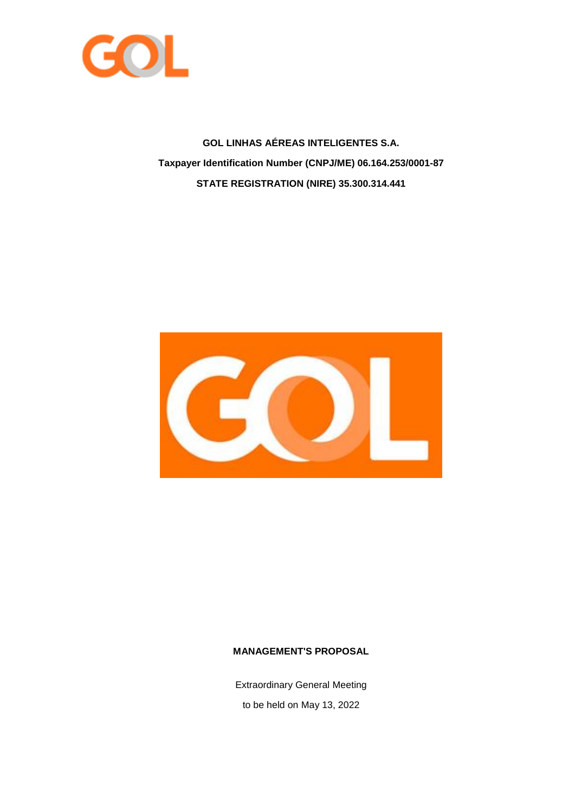

**GOL LINHAS AÉREAS INTELIGENTES S.A. Taxpayer Identification Number (CNPJ/ME) 06.164.253/0001-87 STATE REGISTRATION (NIRE) 35.300.314.441**



# **MANAGEMENT'S PROPOSAL**

Extraordinary General Meeting to be held on May 13, 2022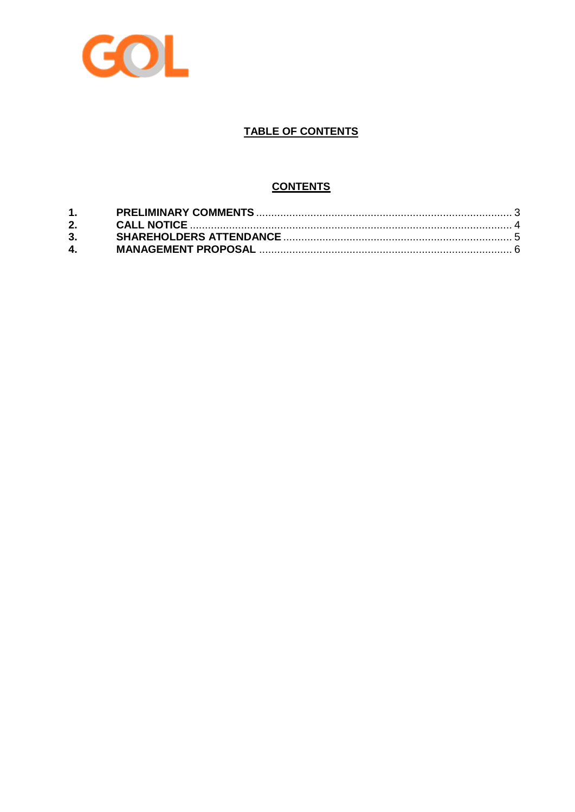

# **TABLE OF CONTENTS**

# **CONTENTS**

| $\mathbf{4}$ , and $\mathbf{4}$ |  |
|---------------------------------|--|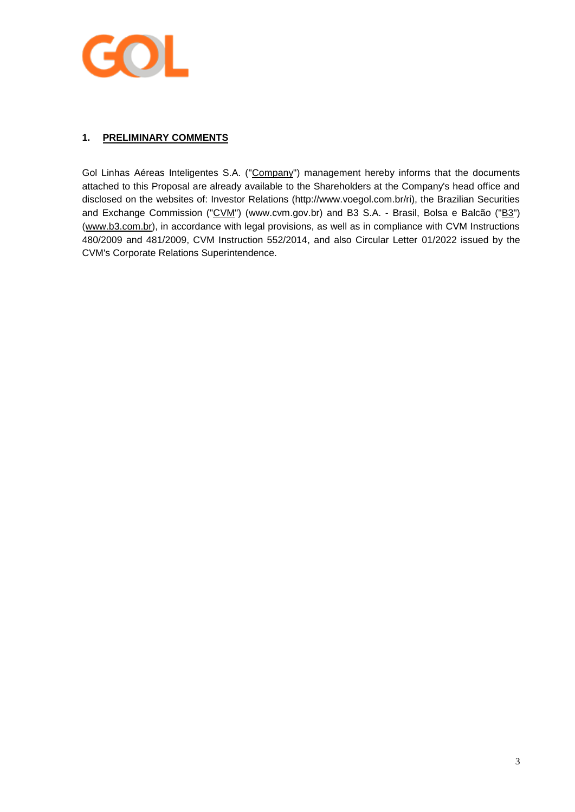

# <span id="page-2-0"></span>**1. PRELIMINARY COMMENTS**

Gol Linhas Aéreas Inteligentes S.A. ("Company") management hereby informs that the documents attached to this Proposal are already available to the Shareholders at the Company's head office and disclosed on the websites of: Investor Relations (http://www.voegol.com.br/ri), the Brazilian Securities and Exchange Commission ("CVM") (www.cvm.gov.br) and B3 S.A. - Brasil, Bolsa e Balcão ("B3") [\(www.b3.com.br\)](http://www.b3.com.br/), in accordance with legal provisions, as well as in compliance with CVM Instructions 480/2009 and 481/2009, CVM Instruction 552/2014, and also Circular Letter 01/2022 issued by the CVM's Corporate Relations Superintendence.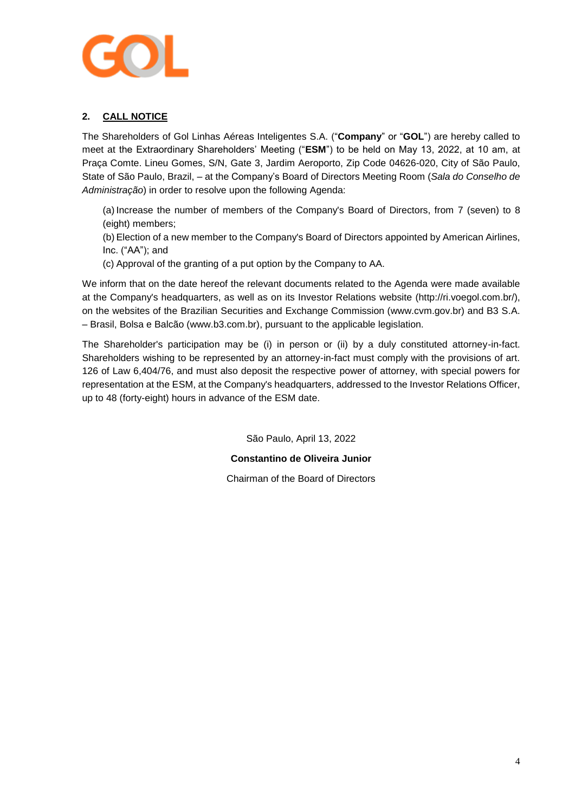

# <span id="page-3-0"></span>**2. CALL NOTICE**

The Shareholders of Gol Linhas Aéreas Inteligentes S.A. ("**Company**" or "**GOL**") are hereby called to meet at the Extraordinary Shareholders' Meeting ("**ESM**") to be held on May 13, 2022, at 10 am, at Praça Comte. Lineu Gomes, S/N, Gate 3, Jardim Aeroporto, Zip Code 04626-020, City of São Paulo, State of São Paulo, Brazil, – at the Company's Board of Directors Meeting Room (*Sala do Conselho de Administração*) in order to resolve upon the following Agenda:

(a) Increase the number of members of the Company's Board of Directors, from 7 (seven) to 8 (eight) members;

(b) Election of a new member to the Company's Board of Directors appointed by American Airlines, Inc. ("AA"); and

(c) Approval of the granting of a put option by the Company to AA.

We inform that on the date hereof the relevant documents related to the Agenda were made available at the Company's headquarters, as well as on its Investor Relations website (http://ri.voegol.com.br/), on the websites of the Brazilian Securities and Exchange Commission (www.cvm.gov.br) and B3 S.A. – Brasil, Bolsa e Balcão (www.b3.com.br), pursuant to the applicable legislation.

The Shareholder's participation may be (i) in person or (ii) by a duly constituted attorney-in-fact. Shareholders wishing to be represented by an attorney-in-fact must comply with the provisions of art. 126 of Law 6,404/76, and must also deposit the respective power of attorney, with special powers for representation at the ESM, at the Company's headquarters, addressed to the Investor Relations Officer, up to 48 (forty-eight) hours in advance of the ESM date.

São Paulo, April 13, 2022

**Constantino de Oliveira Junior**

Chairman of the Board of Directors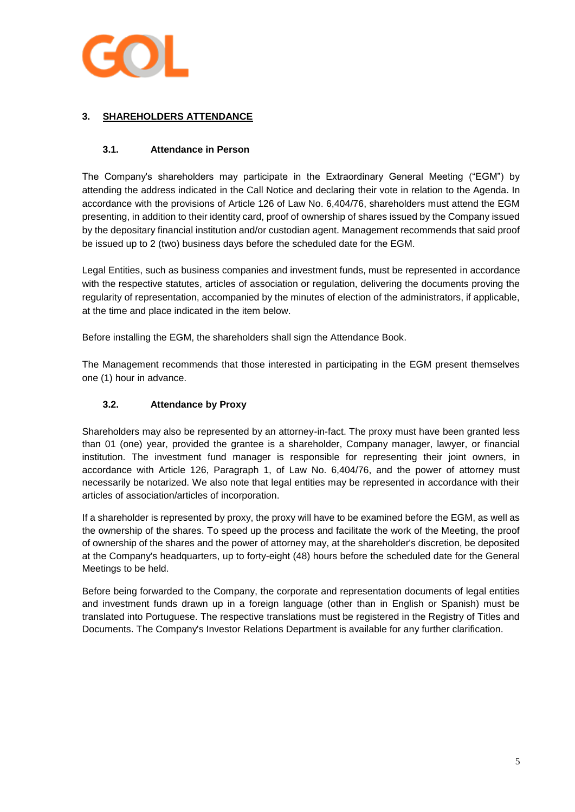

# <span id="page-4-0"></span>**3. SHAREHOLDERS ATTENDANCE**

# **3.1. Attendance in Person**

The Company's shareholders may participate in the Extraordinary General Meeting ("EGM") by attending the address indicated in the Call Notice and declaring their vote in relation to the Agenda. In accordance with the provisions of Article 126 of Law No. 6,404/76, shareholders must attend the EGM presenting, in addition to their identity card, proof of ownership of shares issued by the Company issued by the depositary financial institution and/or custodian agent. Management recommends that said proof be issued up to 2 (two) business days before the scheduled date for the EGM.

Legal Entities, such as business companies and investment funds, must be represented in accordance with the respective statutes, articles of association or regulation, delivering the documents proving the regularity of representation, accompanied by the minutes of election of the administrators, if applicable, at the time and place indicated in the item below.

Before installing the EGM, the shareholders shall sign the Attendance Book.

The Management recommends that those interested in participating in the EGM present themselves one (1) hour in advance.

# **3.2. Attendance by Proxy**

Shareholders may also be represented by an attorney-in-fact. The proxy must have been granted less than 01 (one) year, provided the grantee is a shareholder, Company manager, lawyer, or financial institution. The investment fund manager is responsible for representing their joint owners, in accordance with Article 126, Paragraph 1, of Law No. 6,404/76, and the power of attorney must necessarily be notarized. We also note that legal entities may be represented in accordance with their articles of association/articles of incorporation.

If a shareholder is represented by proxy, the proxy will have to be examined before the EGM, as well as the ownership of the shares. To speed up the process and facilitate the work of the Meeting, the proof of ownership of the shares and the power of attorney may, at the shareholder's discretion, be deposited at the Company's headquarters, up to forty-eight (48) hours before the scheduled date for the General Meetings to be held.

Before being forwarded to the Company, the corporate and representation documents of legal entities and investment funds drawn up in a foreign language (other than in English or Spanish) must be translated into Portuguese. The respective translations must be registered in the Registry of Titles and Documents. The Company's Investor Relations Department is available for any further clarification.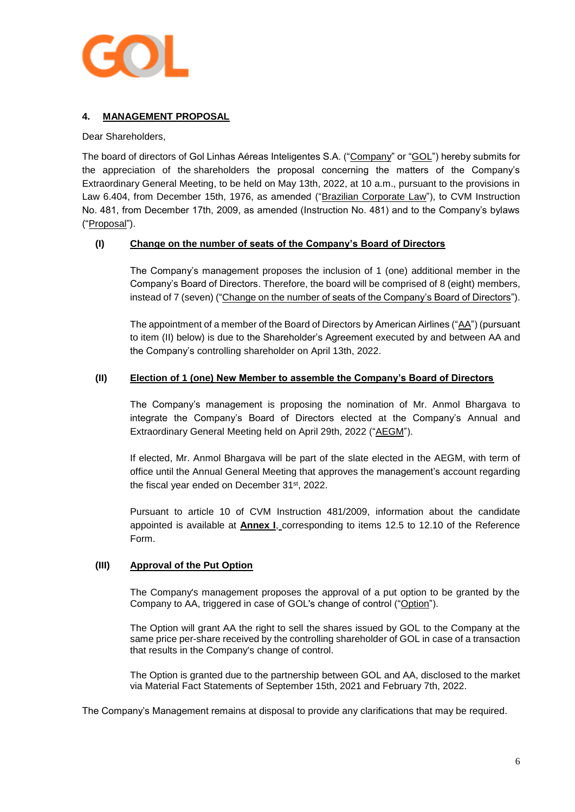

# <span id="page-5-0"></span>**4. MANAGEMENT PROPOSAL**

Dear Shareholders,

The board of directors of Gol Linhas Aéreas Inteligentes S.A. ("Company" or "GOL") hereby submits for the appreciation of the shareholders the proposal concerning the matters of the Company's Extraordinary General Meeting, to be held on May 13th, 2022, at 10 a.m., pursuant to the provisions in Law 6.404, from December 15th, 1976, as amended ("Brazilian Corporate Law"), to CVM Instruction No. 481, from December 17th, 2009, as amended (Instruction No. 481) and to the Company's bylaws ("Proposal").

## **(I) Change on the number of seats of the Company's Board of Directors**

The Company's management proposes the inclusion of 1 (one) additional member in the Company's Board of Directors. Therefore, the board will be comprised of 8 (eight) members, instead of 7 (seven) ("Change on the number of seats of the Company's Board of Directors").

The appointment of a member of the Board of Directors by American Airlines ("AA") (pursuant to item (II) below) is due to the Shareholder's Agreement executed by and between AA and the Company's controlling shareholder on April 13th, 2022.

## **(II) Election of 1 (one) New Member to assemble the Company's Board of Directors**

The Company's management is proposing the nomination of Mr. Anmol Bhargava to integrate the Company's Board of Directors elected at the Company's Annual and Extraordinary General Meeting held on April 29th, 2022 ("AEGM").

If elected, Mr. Anmol Bhargava will be part of the slate elected in the AEGM, with term of office until the Annual General Meeting that approves the management's account regarding the fiscal year ended on December 31<sup>st</sup>, 2022.

Pursuant to article 10 of CVM Instruction 481/2009, information about the candidate appointed is available at **Annex I**, corresponding to items 12.5 to 12.10 of the Reference Form.

## **(III) Approval of the Put Option**

The Company's management proposes the approval of a put option to be granted by the Company to AA, triggered in case of GOL's change of control ("Option").

The Option will grant AA the right to sell the shares issued by GOL to the Company at the same price per-share received by the controlling shareholder of GOL in case of a transaction that results in the Company's change of control.

The Option is granted due to the partnership between GOL and AA, disclosed to the market via Material Fact Statements of September 15th, 2021 and February 7th, 2022.

The Company's Management remains at disposal to provide any clarifications that may be required.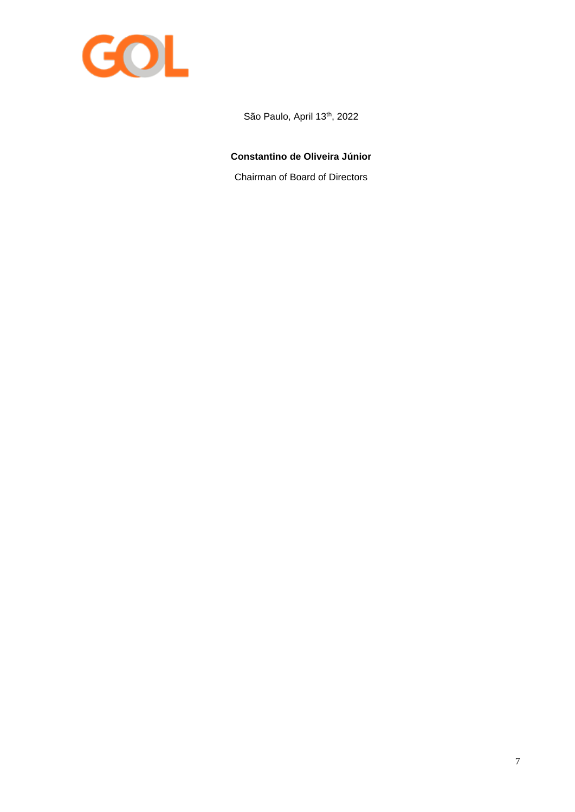

São Paulo, April 13<sup>th</sup>, 2022

# **Constantino de Oliveira Júnior**

Chairman of Board of Directors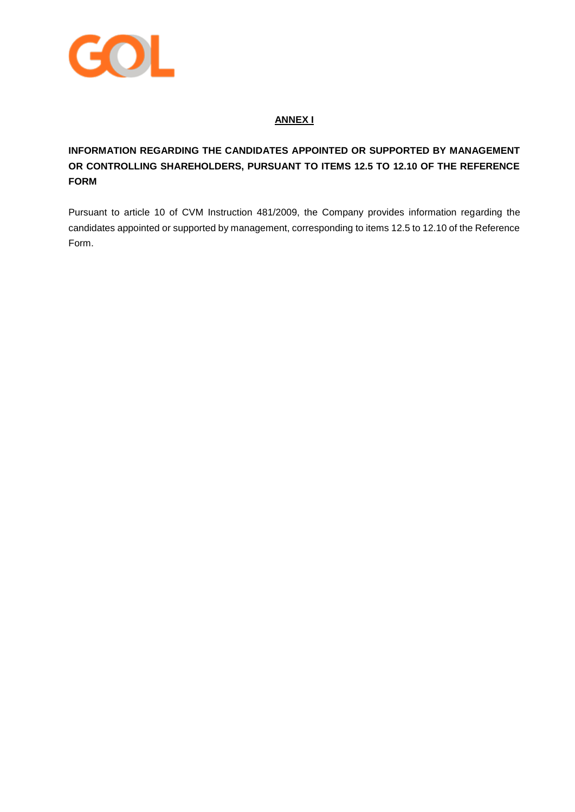

# **ANNEX I**

# **INFORMATION REGARDING THE CANDIDATES APPOINTED OR SUPPORTED BY MANAGEMENT OR CONTROLLING SHAREHOLDERS, PURSUANT TO ITEMS 12.5 TO 12.10 OF THE REFERENCE FORM**

Pursuant to article 10 of CVM Instruction 481/2009, the Company provides information regarding the candidates appointed or supported by management, corresponding to items 12.5 to 12.10 of the Reference Form.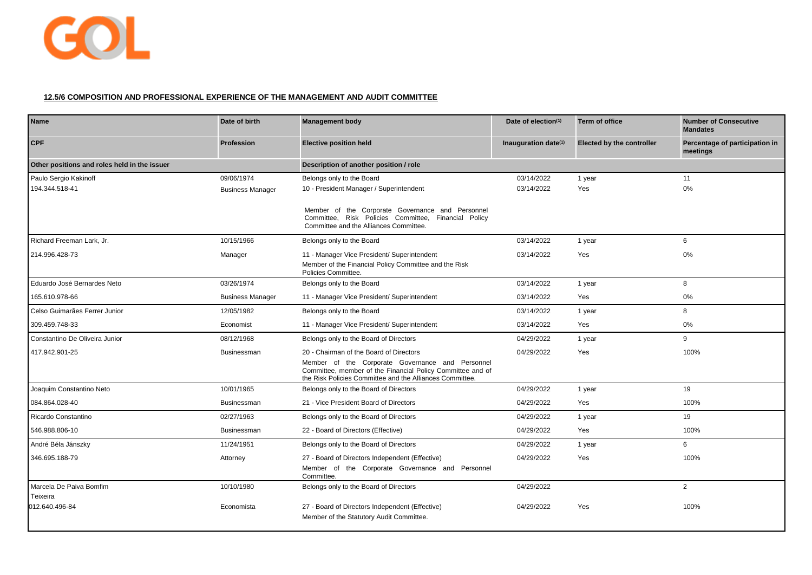

## **12.5/6 COMPOSITION AND PROFESSIONAL EXPERIENCE OF THE MANAGEMENT AND AUDIT COMMITTEE**

| <b>Name</b>                                  | Date of birth           | <b>Management body</b>                                                                                                                                                     | Date of election $(1)$  | Term of office                   | <b>Number of Consecutive</b><br><b>Mandates</b> |
|----------------------------------------------|-------------------------|----------------------------------------------------------------------------------------------------------------------------------------------------------------------------|-------------------------|----------------------------------|-------------------------------------------------|
| <b>CPF</b>                                   | <b>Profession</b>       | <b>Elective position held</b>                                                                                                                                              | Inauguration date $(1)$ | <b>Elected by the controller</b> | Percentage of participation in<br>meetings      |
| Other positions and roles held in the issuer |                         | Description of another position / role                                                                                                                                     |                         |                                  |                                                 |
| Paulo Sergio Kakinoff                        | 09/06/1974              | Belongs only to the Board                                                                                                                                                  | 03/14/2022              | 1 year                           | 11                                              |
| 194.344.518-41                               | <b>Business Manager</b> | 10 - President Manager / Superintendent                                                                                                                                    | 03/14/2022              | Yes                              | 0%                                              |
|                                              |                         | Member of the Corporate Governance and Personnel<br>Committee, Risk Policies Committee, Financial Policy<br>Committee and the Alliances Committee.                         |                         |                                  |                                                 |
| Richard Freeman Lark, Jr.                    | 10/15/1966              | Belongs only to the Board                                                                                                                                                  | 03/14/2022              | 1 year                           | 6                                               |
| 214.996.428-73                               | Manager                 | 11 - Manager Vice President/ Superintendent<br>Member of the Financial Policy Committee and the Risk<br>Policies Committee.                                                | 03/14/2022              | Yes                              | 0%                                              |
| Eduardo José Bernardes Neto                  | 03/26/1974              | Belongs only to the Board                                                                                                                                                  | 03/14/2022              | 1 year                           | 8                                               |
| 165.610.978-66                               | <b>Business Manager</b> | 11 - Manager Vice President/ Superintendent                                                                                                                                | 03/14/2022              | Yes                              | $0\%$                                           |
| Celso Guimarães Ferrer Junior                | 12/05/1982              | Belongs only to the Board                                                                                                                                                  | 03/14/2022              | 1 year                           | 8                                               |
| 309.459.748-33                               | Economist               | 11 - Manager Vice President/ Superintendent                                                                                                                                | 03/14/2022              | Yes                              | 0%                                              |
| Constantino De Oliveira Junior               | 08/12/1968              | Belongs only to the Board of Directors                                                                                                                                     | 04/29/2022              | 1 year                           | 9                                               |
| 417.942.901-25                               | <b>Businessman</b>      | 20 - Chairman of the Board of Directors                                                                                                                                    | 04/29/2022              | Yes                              | 100%                                            |
|                                              |                         | Member of the Corporate Governance and Personnel<br>Committee, member of the Financial Policy Committee and of<br>the Risk Policies Committee and the Alliances Committee. |                         |                                  |                                                 |
| Joaquim Constantino Neto                     | 10/01/1965              | Belongs only to the Board of Directors                                                                                                                                     | 04/29/2022              | 1 year                           | 19                                              |
| 084.864.028-40                               | <b>Businessman</b>      | 21 - Vice President Board of Directors                                                                                                                                     | 04/29/2022              | Yes                              | 100%                                            |
| Ricardo Constantino                          | 02/27/1963              | Belongs only to the Board of Directors                                                                                                                                     | 04/29/2022              | 1 year                           | 19                                              |
| 546.988.806-10                               | <b>Businessman</b>      | 22 - Board of Directors (Effective)                                                                                                                                        | 04/29/2022              | Yes                              | 100%                                            |
| André Béla Jánszky                           | 11/24/1951              | Belongs only to the Board of Directors                                                                                                                                     | 04/29/2022              | 1 year                           | 6                                               |
| 346.695.188-79                               | Attorney                | 27 - Board of Directors Independent (Effective)<br>Member of the Corporate Governance and Personnel<br>Committee.                                                          | 04/29/2022              | Yes                              | 100%                                            |
| Marcela De Paiva Bomfim<br>Teixeira          | 10/10/1980              | Belongs only to the Board of Directors                                                                                                                                     | 04/29/2022              |                                  | $\overline{2}$                                  |
| 012.640.496-84                               | Economista              | 27 - Board of Directors Independent (Effective)<br>Member of the Statutory Audit Committee.                                                                                | 04/29/2022              | Yes                              | 100%                                            |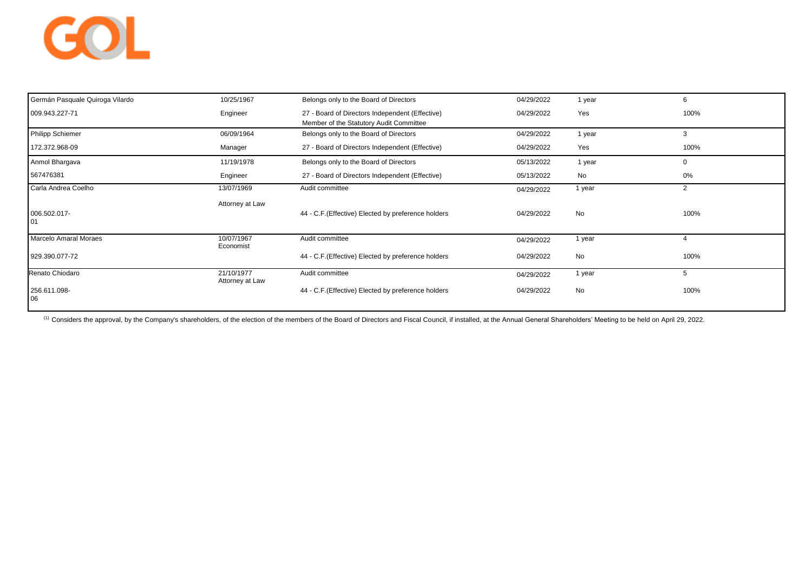# GOL

| Germán Pasquale Quiroga Vilardo | 10/25/1967                    | Belongs only to the Board of Directors                                                     | 04/29/2022 | 1 year    |             |
|---------------------------------|-------------------------------|--------------------------------------------------------------------------------------------|------------|-----------|-------------|
| 009.943.227-71                  | Engineer                      | 27 - Board of Directors Independent (Effective)<br>Member of the Statutory Audit Committee | 04/29/2022 | Yes       | 100%        |
| <b>Philipp Schiemer</b>         | 06/09/1964                    | Belongs only to the Board of Directors                                                     | 04/29/2022 | 1 year    | 3           |
| 172.372.968-09                  | Manager                       | 27 - Board of Directors Independent (Effective)                                            | 04/29/2022 | Yes       | 100%        |
| Anmol Bhargava                  | 11/19/1978                    | Belongs only to the Board of Directors                                                     | 05/13/2022 | 1 year    | $\mathbf 0$ |
| 567476381                       | Engineer                      | 27 - Board of Directors Independent (Effective)                                            | 05/13/2022 | No        | 0%          |
| Carla Andrea Coelho             | 13/07/1969                    | Audit committee                                                                            | 04/29/2022 | 1 year    | 2           |
| 006.502.017-<br>01              | Attorney at Law               | 44 - C.F.(Effective) Elected by preference holders                                         | 04/29/2022 | No        | 100%        |
| <b>Marcelo Amaral Moraes</b>    | 10/07/1967<br>Economist       | Audit committee                                                                            | 04/29/2022 | 1 year    |             |
| 929.390.077-72                  |                               | 44 - C.F.(Effective) Elected by preference holders                                         | 04/29/2022 | No        | 100%        |
| Renato Chiodaro                 | 21/10/1977<br>Attorney at Law | Audit committee                                                                            | 04/29/2022 | 1 year    | 5           |
| 256.611.098-<br>06              |                               | 44 - C.F.(Effective) Elected by preference holders                                         | 04/29/2022 | <b>No</b> | 100%        |

(1) Considers the approval, by the Company's shareholders, of the election of the members of the Board of Directors and Fiscal Council, if installed, at the Annual General Shareholders' Meeting to be held on April 29, 2022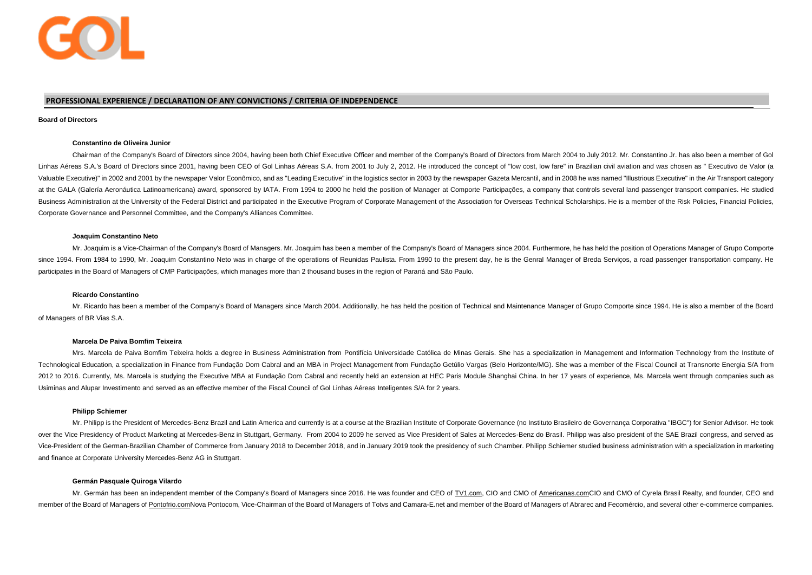

## **PROFESSIONAL EXPERIENCE / DECLARATION OF ANY CONVICTIONS / CRITERIA OF INDEPENDENCE**

#### **Board of Directors**

#### **Constantino de Oliveira Junior**

Chairman of the Company's Board of Directors since 2004, having been both Chief Executive Officer and member of the Company's Board of Directors from March 2004 to July 2012. Mr. Constantino Jr. has also been a member of Gol Linhas Aéreas S.A.'s Board of Directors since 2001, having been CEO of Gol Linhas Aéreas S.A. from 2001 to July 2, 2012. He introduced the concept of "low cost, low fare" in Brazilian civil aviation and was chosen as " Exe Valuable Executive)" in 2002 and 2001 by the newspaper Valor Econômico, and as "Leading Executive" in the logistics sector in 2003 by the newspaper Gazeta Mercantil, and in 2008 he was named "Illustrious Executive" in the at the GALA (Galería Aeronáutica Latinoamericana) award, sponsored by IATA, From 1994 to 2000 he held the position of Manager at Comporte Participacões, a company that controls several land passenger transport companies. H Business Administration at the University of the Federal District and participated in the Executive Program of Corporate Management of the Association for Overseas Technical Scholarships. He is a member of the Risk Policie Corporate Governance and Personnel Committee, and the Company's Alliances Committee.

#### **Joaquim Constantino Neto**

Mr. Joaquim is a Vice-Chairman of the Company's Board of Managers. Mr. Joaquim has been a member of the Company's Board of Managers since 2004. Furthermore, he has held the position of Operations Manager of Grupo Comporte since 1994. From 1984 to 1990, Mr. Joaquim Constantino Neto was in charge of the operations of Reunidas Paulista. From 1990 to the present day, he is the Genral Manager of Breda Servicos, a road passenger transportation co participates in the Board of Managers of CMP Participações, which manages more than 2 thousand buses in the region of Paraná and São Paulo.

#### **Ricardo Constantino**

Mr. Ricardo has been a member of the Company's Board of Managers since March 2004. Additionally, he has held the position of Technical and Maintenance Manager of Grupo Comporte since 1994. He is also a member of the Board of Managers of BR Vias S.A.

#### **Marcela De Paiva Bomfim Teixeira**

Mrs. Marcela de Paiva Bomfim Teixeira holds a degree in Business Administration from Pontifícia Universidade Católica de Minas Gerais. She has a specialization in Management and Information Technology from the Institute of Technological Education, a specialization in Finance from Fundação Dom Cabral and an MBA in Project Management from Fundação Getúlio Vargas (Belo Horizonte/MG). She was a member of the Fiscal Council at Transnorte Energia 2012 to 2016. Currently, Ms. Marcela is studying the Executive MBA at Fundação Dom Cabral and recently held an extension at HEC Paris Module Shanghai China. In her 17 years of experience, Ms. Marcela went through companies Usiminas and Alupar Investimento and served as an effective member of the Fiscal Council of Gol Linhas Aéreas Inteligentes S/A for 2 years.

#### **Philipp Schiemer**

Mr. Philipp is the President of Mercedes-Benz Brazil and Latin America and currently is at a course at the Brazilian Institute of Corporate Governance (no Instituto Brasileiro de Governanca Corporativa "IBGC") for Senior A over the Vice Presidency of Product Marketing at Mercedes-Benz in Stuttgart, Germany. From 2004 to 2009 he served as Vice President of Sales at Mercedes-Benz do Brasil. Philipp was also president of the SAE Brazil congress Vice-President of the German-Brazilian Chamber of Commerce from January 2018 to December 2018, and in January 2019 took the presidency of such Chamber. Philipp Schiemer studied business administration with a specialization and finance at Corporate University Mercedes-Benz AG in Stuttgart.

#### **Germán Pasquale Quiroga Vilardo**

Mr. Germán has been an independent member of the Company's Board of Managers since 2016. He was founder and CEO of [TV1.com,](http://tv1.com/) CIO and CMO of [Americanas.comC](http://americanas.com/)IO and CMO of Cyrela Brasil Realty, and founder, CEO and member of the Board of Managers o[f Pontofrio.comN](http://pontofrio.com/)ova Pontocom, Vice-Chairman of the Board of Managers of Totvs and Camara-E.net and member of the Board of Managers of Abrarec and Fecomércio, and several other e-commerce co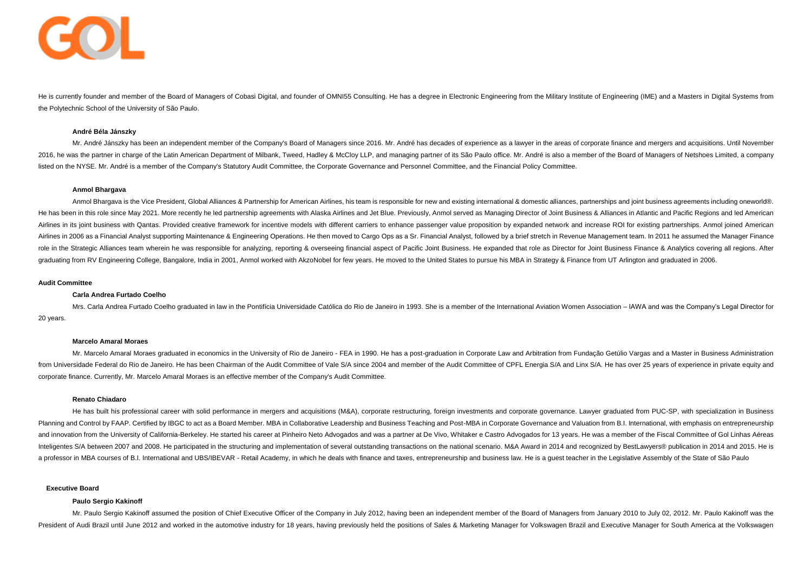

He is currently founder and member of the Board of Managers of Cobasi Digital, and founder of OMNI55 Consulting. He has a degree in Electronic Engineering from the Military Institute of Engineering (IME) and a Masters in D the Polytechnic School of the University of São Paulo.

#### **André Béla Jánszky**

Mr. André Jánszky has been an independent member of the Company's Board of Managers since 2016. Mr. André has decades of experience as a lawyer in the areas of corporate finance and mergers and acquisitions. Until November 2016, he was the partner in charge of the Latin American Department of Milbank, Tweed, Hadley & McCloy LLP, and managing partner of its São Paulo office. Mr. André is also a member of the Board of Managers of Netshoes Limi listed on the NYSE. Mr. André is a member of the Company's Statutory Audit Committee, the Corporate Governance and Personnel Committee, and the Financial Policy Committee.

#### **Anmol Bhargava**

Anmol Bhargaya is the Vice President, Global Alliances & Partnership for American Airlines, his team is responsible for new and existing international & domestic alliances, partnerships and joint business agreements includ He has been in this role since May 2021. More recently he led partnership agreements with Alaska Airlines and Jet Blue. Previously, Anmol served as Managing Director of Joint Business & Alliances in Atlantic and Pacific Re Airlines in its joint business with Qantas. Provided creative framework for incentive models with different carriers to enhance passenger value proposition by expanded network and increase ROI for existing partnerships. An Airlines in 2006 as a Financial Analyst supporting Maintenance & Engineering Operations. He then moved to Cargo Ops as a Sr. Financial Analyst, followed by a brief stretch in Revenue Management team. In 2011 he assumed the role in the Strategic Alliances team wherein he was responsible for analyzing, reporting & overseeing financial aspect of Pacific Joint Business. He expanded that role as Director for Joint Business Finance & Analytics cov graduating from RV Engineering College, Bangalore, India in 2001, Anmol worked with AkzoNobel for few years. He moved to the United States to pursue his MBA in Strategy & Finance from UT Arlington and graduated in 2006.

#### **Audit Committee**

#### **Carla Andrea Furtado Coelho**

Mrs. Carla Andrea Furtado Coelho graduated in law in the Pontifícia Universidade Católica do Rio de Janeiro in 1993. She is a member of the International Aviation Women Association - IAWA and was the Company's Legal Direct 20 years.

#### **Marcelo Amaral Moraes**

Mr. Marcelo Amaral Moraes graduated in economics in the University of Rio de Janeiro - FEA in 1990. He has a post-graduation in Corporate Law and Arbitration from Fundação Getúlio Vargas and a Master in Business Administra from Universidade Federal do Rio de Janeiro. He has been Chairman of the Audit Committee of Vale S/A since 2004 and member of the Audit Committee of CPFL Energia S/A and Linx S/A. He has over 25 years of experience in priv corporate finance. Currently, Mr. Marcelo Amaral Moraes is an effective member of the Company's Audit Committee.

#### **Renato Chiadaro**

He has built his professional career with solid performance in mergers and acquisitions (M&A), corporate restructuring, foreign investments and corporate governance. Lawyer graduated from PUC-SP, with specialization in Bus Planning and Control by FAAP. Certified by IBGC to act as a Board Member. MBA in Collaborative Leadership and Business Teaching and Post-MBA in Corporate Governance and Valuation from B.I. International, with emphasis on e and innovation from the University of California-Berkeley. He started his career at Pinheiro Neto Advogados and was a partner at De Vivo, Whitaker e Castro Advogados for 13 years. He was a member of the Fiscal Committee of Inteligentes S/A between 2007 and 2008. He participated in the structuring and implementation of several outstanding transactions on the national scenario. M&A Award in 2014 and recognized by BestLawyers® publication in 20 a professor in MBA courses of B.I. International and UBS/IBEVAR - Retail Academy, in which he deals with finance and taxes, entrepreneurship and business law. He is a quest teacher in the Legislative Assembly of the State

#### **Executive Board**

#### **Paulo Sergio Kakinoff**

Mr. Paulo Sergio Kakinoff assumed the position of Chief Executive Officer of the Company in July 2012, having been an independent member of the Board of Managers from January 2010 to July 02, 2012. Mr. Paulo Kakinoff was t President of Audi Brazil until June 2012 and worked in the automotive industry for 18 years, having previously held the positions of Sales & Marketing Manager for Volkswagen Brazil and Executive Manager for South America a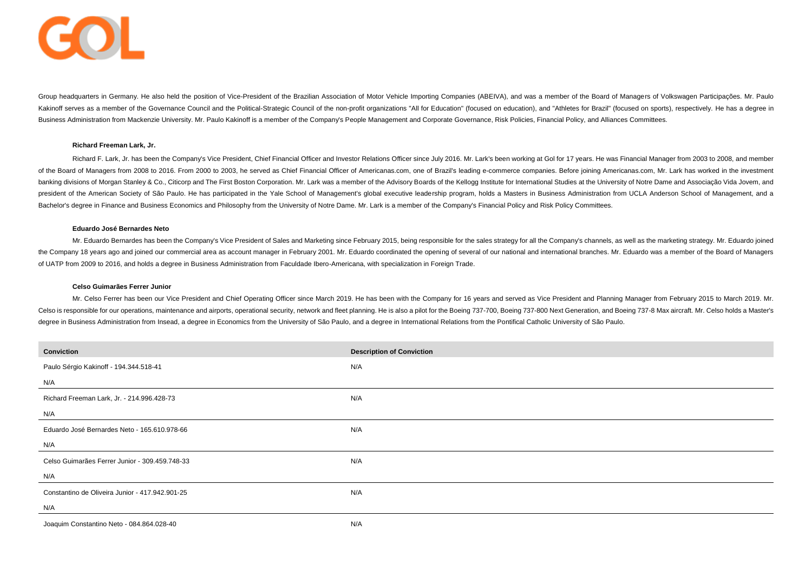

Group headquarters in Germany. He also held the position of Vice-President of the Brazilian Association of Motor Vehicle Importing Companies (ABEIVA), and was a member of the Board of Managers of Volkswagen Participacões. Kakinoff serves as a member of the Governance Council and the Political-Strategic Council of the non-profit organizations "All for Education" (focused on education), and "Athletes for Brazil" (focused on sports), respectiv Business Administration from Mackenzie University. Mr. Paulo Kakinoff is a member of the Company's People Management and Corporate Governance, Risk Policies, Financial Policy, and Alliances Committees.

#### **Richard Freeman Lark, Jr.**

Richard F. Lark, Jr. has been the Company's Vice President, Chief Financial Officer and Investor Relations Officer since July 2016. Mr. Lark's been working at Gol for 17 years. He was Financial Manager from 2003 to 2008, a of the Board of Managers from 2008 to 2016. From 2000 to 2003, he served as Chief Financial Officer of Americanas.com, one of Brazil's leading e-commerce companies. Before joining Americanas.com, Mr. Lark has worked in the banking divisions of Morgan Stanley & Co., Citicorp and The First Boston Corporation. Mr. Lark was a member of the Advisory Boards of the Kellogg Institute for International Studies at the University of Notre Dame and Asso president of the American Society of São Paulo. He has participated in the Yale School of Management's global executive leadership program, holds a Masters in Business Administration from UCLA Anderson School of Management Bachelor's degree in Finance and Business Economics and Philosophy from the University of Notre Dame. Mr. Lark is a member of the Company's Financial Policy and Risk Policy Committees.

#### **Eduardo José Bernardes Neto**

Mr. Eduardo Bernardes has been the Company's Vice President of Sales and Marketing since February 2015, being responsible for the sales strategy for all the Company's channels, as well as the marketing strategy. Mr. Eduard the Company 18 years ago and joined our commercial area as account manager in February 2001. Mr. Eduardo coordinated the opening of several of our national and international branches. Mr. Eduardo was a member of the Board of UATP from 2009 to 2016, and holds a degree in Business Administration from Faculdade Ibero-Americana, with specialization in Foreign Trade.

#### **Celso Guimarães Ferrer Junior**

Mr. Celso Ferrer has been our Vice President and Chief Operating Officer since March 2019. He has been with the Company for 16 years and served as Vice President and Planning Manager from February 2015 to March 2019. Mr. Celso is responsible for our operations, maintenance and airports, operational security, network and fleet planning. He is also a pilot for the Boeing 737-700, Boeing 737-800 Next Generation, and Boeing 737-8 Max aircraft. degree in Business Administration from Insead, a degree in Economics from the University of São Paulo, and a degree in International Relations from the Pontifical Catholic University of São Paulo.

| Conviction                                      | <b>Description of Conviction</b> |
|-------------------------------------------------|----------------------------------|
| Paulo Sérgio Kakinoff - 194.344.518-41          | N/A                              |
| N/A                                             |                                  |
| Richard Freeman Lark, Jr. - 214.996.428-73      | N/A                              |
| N/A                                             |                                  |
| Eduardo José Bernardes Neto - 165.610.978-66    | N/A                              |
| N/A                                             |                                  |
| Celso Guimarães Ferrer Junior - 309.459.748-33  | N/A                              |
| N/A                                             |                                  |
| Constantino de Oliveira Junior - 417.942.901-25 | N/A                              |
| N/A                                             |                                  |
| Joaquim Constantino Neto - 084.864.028-40       | N/A                              |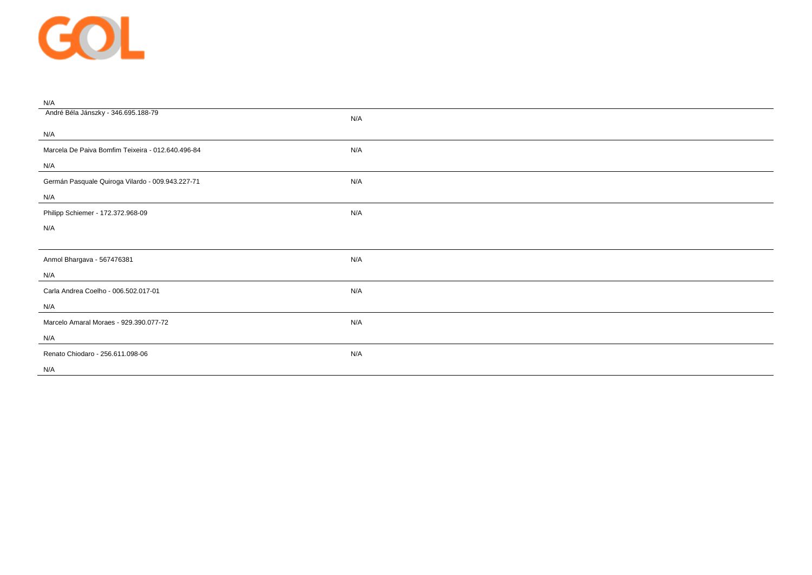

| N/A                                               |     |
|---------------------------------------------------|-----|
| André Béla Jánszky - 346.695.188-79               | N/A |
| N/A                                               |     |
| Marcela De Paiva Bomfim Teixeira - 012.640.496-84 | N/A |
| N/A                                               |     |
| Germán Pasquale Quiroga Vilardo - 009.943.227-71  | N/A |
| N/A                                               |     |
| Philipp Schiemer - 172.372.968-09                 | N/A |
| N/A                                               |     |
|                                                   |     |
| Anmol Bhargava - 567476381                        | N/A |
| N/A                                               |     |
|                                                   |     |
| Carla Andrea Coelho - 006.502.017-01              | N/A |
| N/A                                               |     |
| Marcelo Amaral Moraes - 929.390.077-72            | N/A |
| N/A                                               |     |
| Renato Chiodaro - 256.611.098-06                  | N/A |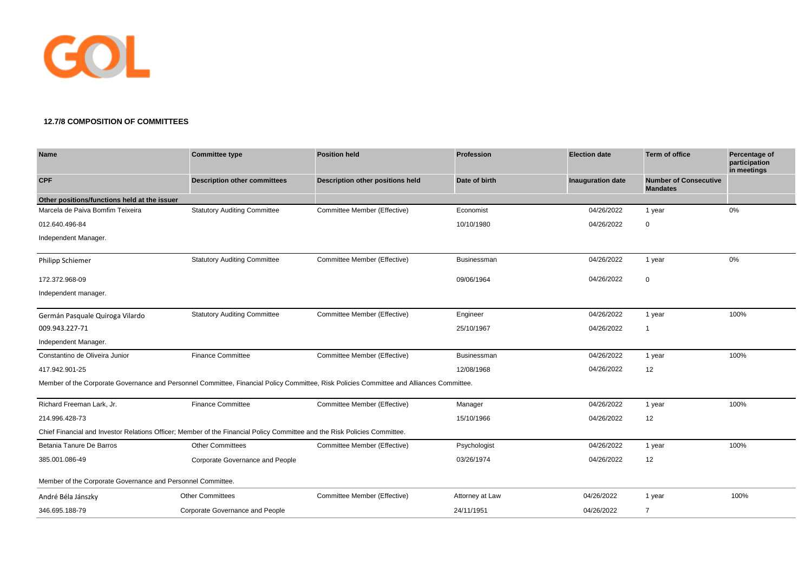

## **12.7/8 COMPOSITION OF COMMITTEES**

| Name                                                                                                                                     | <b>Committee type</b>               | <b>Position held</b>             | <b>Profession</b> | <b>Election date</b>     | <b>Term of office</b>                           | Percentage of<br>participation<br>in meetings |
|------------------------------------------------------------------------------------------------------------------------------------------|-------------------------------------|----------------------------------|-------------------|--------------------------|-------------------------------------------------|-----------------------------------------------|
| <b>CPF</b>                                                                                                                               | <b>Description other committees</b> | Description other positions held | Date of birth     | <b>Inauguration date</b> | <b>Number of Consecutive</b><br><b>Mandates</b> |                                               |
| Other positions/functions held at the issuer                                                                                             |                                     |                                  |                   |                          |                                                 |                                               |
| Marcela de Paiva Bomfim Teixeira                                                                                                         | <b>Statutory Auditing Committee</b> | Committee Member (Effective)     | Economist         | 04/26/2022               | 1 year                                          | 0%                                            |
| 012.640.496-84                                                                                                                           |                                     |                                  | 10/10/1980        | 04/26/2022               | 0                                               |                                               |
| Independent Manager.                                                                                                                     |                                     |                                  |                   |                          |                                                 |                                               |
| <b>Philipp Schiemer</b>                                                                                                                  | <b>Statutory Auditing Committee</b> | Committee Member (Effective)     | Businessman       | 04/26/2022               | 1 year                                          | 0%                                            |
| 172.372.968-09                                                                                                                           |                                     |                                  | 09/06/1964        | 04/26/2022               | $\mathbf 0$                                     |                                               |
| Independent manager.                                                                                                                     |                                     |                                  |                   |                          |                                                 |                                               |
| Germán Pasquale Quiroga Vilardo                                                                                                          | <b>Statutory Auditing Committee</b> | Committee Member (Effective)     | Engineer          | 04/26/2022               | 1 year                                          | 100%                                          |
| 009.943.227-71                                                                                                                           |                                     |                                  | 25/10/1967        | 04/26/2022               | $\overline{1}$                                  |                                               |
| Independent Manager.                                                                                                                     |                                     |                                  |                   |                          |                                                 |                                               |
| Constantino de Oliveira Junior                                                                                                           | <b>Finance Committee</b>            | Committee Member (Effective)     | Businessman       | 04/26/2022               | 1 year                                          | 100%                                          |
| 417.942.901-25                                                                                                                           |                                     |                                  | 12/08/1968        | 04/26/2022               | 12                                              |                                               |
| Member of the Corporate Governance and Personnel Committee, Financial Policy Committee, Risk Policies Committee and Alliances Committee. |                                     |                                  |                   |                          |                                                 |                                               |
| Richard Freeman Lark, Jr.                                                                                                                | <b>Finance Committee</b>            | Committee Member (Effective)     | Manager           | 04/26/2022               | 1 year                                          | 100%                                          |
| 214.996.428-73                                                                                                                           |                                     |                                  | 15/10/1966        | 04/26/2022               | 12                                              |                                               |
| Chief Financial and Investor Relations Officer; Member of the Financial Policy Committee and the Risk Policies Committee.                |                                     |                                  |                   |                          |                                                 |                                               |
| Betania Tanure De Barros                                                                                                                 | <b>Other Committees</b>             | Committee Member (Effective)     | Psychologist      | 04/26/2022               | 1 year                                          | 100%                                          |
| 385.001.086-49                                                                                                                           | Corporate Governance and People     |                                  | 03/26/1974        | 04/26/2022               | 12                                              |                                               |
| Member of the Corporate Governance and Personnel Committee.                                                                              |                                     |                                  |                   |                          |                                                 |                                               |
| André Béla Jánszky                                                                                                                       | <b>Other Committees</b>             | Committee Member (Effective)     | Attorney at Law   | 04/26/2022               | 1 year                                          | 100%                                          |
| 346.695.188-79                                                                                                                           | Corporate Governance and People     |                                  | 24/11/1951        | 04/26/2022               | $\overline{7}$                                  |                                               |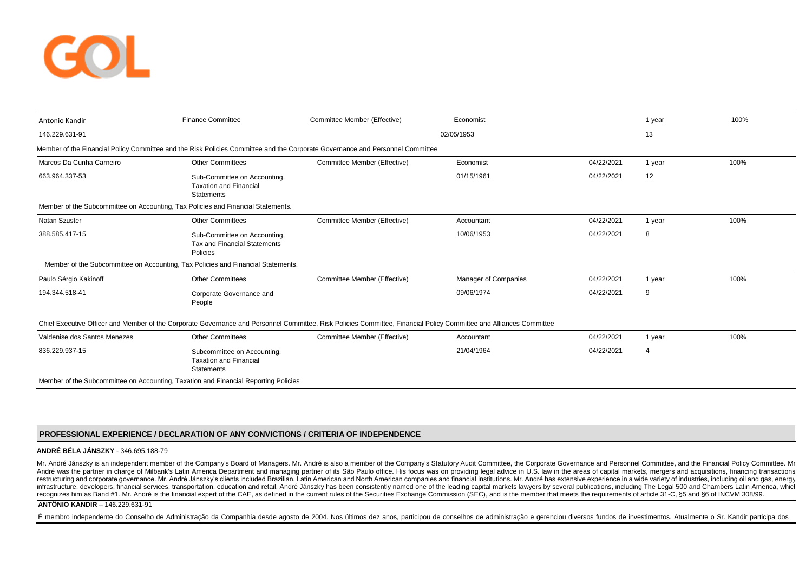

| Antonio Kandir                                                                                                                | <b>Finance Committee</b>                                                                                                                                            | Committee Member (Effective) | Economist                   |            | 1 year | 100% |  |  |  |
|-------------------------------------------------------------------------------------------------------------------------------|---------------------------------------------------------------------------------------------------------------------------------------------------------------------|------------------------------|-----------------------------|------------|--------|------|--|--|--|
| 146.229.631-91                                                                                                                |                                                                                                                                                                     |                              | 02/05/1953                  |            | 13     |      |  |  |  |
| Member of the Financial Policy Committee and the Risk Policies Committee and the Corporate Governance and Personnel Committee |                                                                                                                                                                     |                              |                             |            |        |      |  |  |  |
| Marcos Da Cunha Carneiro                                                                                                      | <b>Other Committees</b>                                                                                                                                             | Committee Member (Effective) | Economist                   | 04/22/2021 | 1 year | 100% |  |  |  |
| 663.964.337-53                                                                                                                | Sub-Committee on Accounting,<br><b>Taxation and Financial</b><br><b>Statements</b>                                                                                  |                              | 01/15/1961                  | 04/22/2021 | 12     |      |  |  |  |
| Member of the Subcommittee on Accounting, Tax Policies and Financial Statements.                                              |                                                                                                                                                                     |                              |                             |            |        |      |  |  |  |
| <b>Natan Szuster</b>                                                                                                          | <b>Other Committees</b>                                                                                                                                             | Committee Member (Effective) | Accountant                  | 04/22/2021 | 1 year | 100% |  |  |  |
| 388.585.417-15                                                                                                                | Sub-Committee on Accounting,<br><b>Tax and Financial Statements</b><br>Policies                                                                                     |                              | 10/06/1953                  | 04/22/2021 | 8      |      |  |  |  |
|                                                                                                                               | Member of the Subcommittee on Accounting, Tax Policies and Financial Statements.                                                                                    |                              |                             |            |        |      |  |  |  |
| Paulo Sérgio Kakinoff                                                                                                         | <b>Other Committees</b>                                                                                                                                             | Committee Member (Effective) | <b>Manager of Companies</b> | 04/22/2021 | 1 year | 100% |  |  |  |
| 194.344.518-41                                                                                                                | Corporate Governance and<br>People                                                                                                                                  |                              | 09/06/1974                  | 04/22/2021 | 9      |      |  |  |  |
|                                                                                                                               | Chief Executive Officer and Member of the Corporate Governance and Personnel Committee, Risk Policies Committee, Financial Policy Committee and Alliances Committee |                              |                             |            |        |      |  |  |  |
| Valdenise dos Santos Menezes                                                                                                  | <b>Other Committees</b>                                                                                                                                             | Committee Member (Effective) | Accountant                  | 04/22/2021 | 1 year | 100% |  |  |  |
| 836.229.937-15                                                                                                                | Subcommittee on Accounting,<br><b>Taxation and Financial</b><br><b>Statements</b>                                                                                   |                              | 21/04/1964                  | 04/22/2021 | 4      |      |  |  |  |
| Member of the Subcommittee on Accounting, Taxation and Financial Reporting Policies                                           |                                                                                                                                                                     |                              |                             |            |        |      |  |  |  |

## **PROFESSIONAL EXPERIENCE / DECLARATION OF ANY CONVICTIONS / CRITERIA OF INDEPENDENCE**

#### **ANDRÉ BÉLA JÁNSZKY** - 346.695.188-79

Mr. André Jánszky is an independent member of the Company's Board of Managers. Mr. André is also a member of the Company's Statutory Audit Committee, the Corporate Governance and Personnel Committee, and the Financial Poli André was the partner in charge of Milbank's Latin America Department and managing partner of its São Paulo office. His focus was on providing legal advice in U.S. law in the areas of capital markets, mergers and acquisiti restructuring and corporate governance. Mr. André Jánszky's clients included Brazilian, Latin American and North American companies and financial institutions. Mr. André has extensive experience in a wide variety of indust infrastructure, developers, financial services, transportation, education and retail. André Jánszky has been consistently named one of the leading capital markets lawyers by several publications, including The Legal 500 an recognizes him as Band #1. Mr. André is the financial expert of the CAE, as defined in the current rules of the Securities Exchange Commission (SEC), and is the member that meets the requirements of article 31-C, \$5 and \$6

## **ANTÔNIO KANDIR** – 146.229.631-91

É membro independente do Conselho de Administração da Companhia desde agosto de 2004. Nos últimos dez anos, participou de conselhos de administração e gerenciou diversos fundos de investimentos. Atualmente o Sr. Kandir par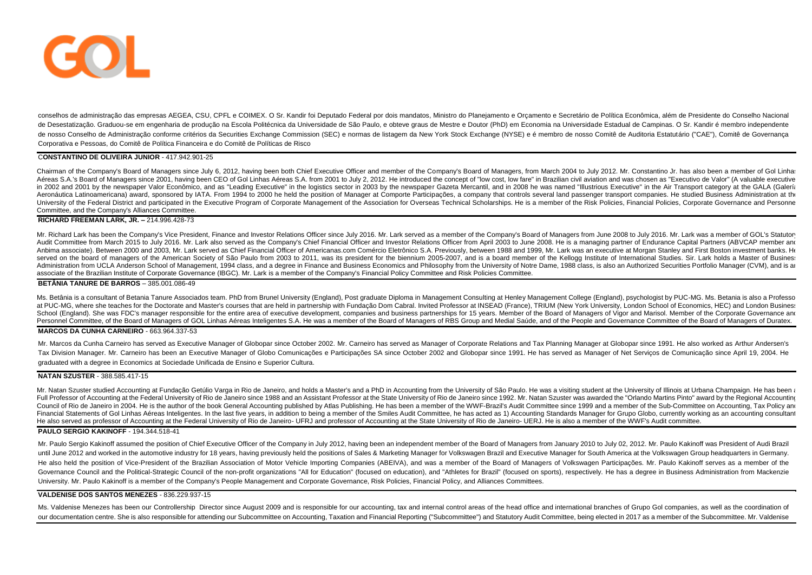

conselhos de administração das empresas AEGEA, CSU, CPFL e COIMEX. O Sr. Kandir foi Deputado Federal por dois mandatos, Ministro do Planejamento e Orçamento e Secretário de Política Econômica, além de Presidente do Conselh de Desestatização. Graduou-se em engenharia de produção na Escola Politécnica da Universidade de São Paulo, e obteve graus de Mestre e Doutor (PhD) em Economia na Universidade Estadual de Campinas, O Sr. Kandir é membro in de nosso Conselho de Administração conforme critérios da Securities Exchange Commission (SEC) e normas de listagem da New York Stock Exchange (NYSE) e é membro de nosso Comitê de Auditoria Estatutário ("CAE"), Comitê de Go Corporativa e Pessoas, do Comitê de Política Financeira e do Comitê de Políticas de Risco

#### C**ONSTANTINO DE OLIVEIRA JUNIOR** - 417.942.901-25

Chairman of the Company's Board of Managers since July 6, 2012, having been both Chief Executive Officer and member of the Company's Board of Managers, from March 2004 to July 2012. Mr. Constantino Jr. has also been a memb Aéreas S.A.'s Board of Managers since 2001, having been CEO of Gol Linhas Aéreas S.A. from 2001 to July 2, 2012. He introduced the concept of "low cost, low fare" in Brazilian civil aviation and was chosen as "Executivo de in 2002 and 2001 by the newspaper Valor Econômico, and as "Leading Executive" in the logistics sector in 2003 by the newspaper Gazeta Mercantil, and in 2008 he was named "Illustrious Executive" in the Air Transport categor Aeronáutica Latinoamericana) award, sponsored by IATA. From 1994 to 2000 he held the position of Manager at Comporte Participações, a company that controls several land passenger transport companies. He studied Business Ad University of the Federal District and participated in the Executive Program of Corporate Management of the Association for Overseas Technical Scholarships. He is a member of the Risk Policies, Financial Policies, Corporat Committee, and the Company's Alliances Committee.

#### **RICHARD FREEMAN LARK, JR. –** 214.996.428-73

Mr. Richard Lark has been the Company's Vice President, Finance and Investor Relations Officer since July 2016. Mr. Lark served as a member of the Company's Board of Managers from June 2008 to July 2016. Mr. Lark was a mem Audit Committee from March 2015 to July 2016. Mr. Lark also served as the Company's Chief Financial Officer and Investor Relations Officer from April 2003 to June 2008. He is a managing partner of Endurance Capital Partner Anbima associate). Between 2000 and 2003, Mr. Lark served as Chief Financial Officer of Americanas.com Comércio Eletrônico S.A. Previously, between 1988 and 1999, Mr. Lark was an executive at Morgan Stanley and First Bosto served on the board of managers of the American Society of São Paulo from 2003 to 2011, was its president for the biennium 2005-2007, and is a board member of the Kellogg Institute of International Studies. Sir. Lark holds Administration from UCLA Anderson School of Management, 1994 class, and a degree in Finance and Business Economics and Philosophy from the University of Notre Dame, 1988 class, is also an Authorized Securities Portfolio Ma associate of the Brazilian Institute of Corporate Governance (IBGC). Mr. Lark is a member of the Company's Financial Policy Committee and Risk Policies Committee.

#### **BETÂNIA TANURE DE BARROS** – 385.001.086-49

Ms. Betânia is a consultant of Betania Tanure Associados team. PhD from Brunel University (England), Post graduate Diploma in Management Consulting at Henley Management College (England), psychologist by PUC-MG. Ms. Betani at PUC-MG, where she teaches for the Doctorate and Master's courses that are held in partnership with Fundação Dom Cabral. Invited Professor at INSEAD (France), TRIUM (New York University, London School of Economics, HEC) School (England). She was FDC's manager responsible for the entire area of executive development, companies and business partnerships for 15 years. Member of the Board of Managers of Vigor and Marisol. Member of the Corpor Personnel Committee, of the Board of Managers of GOL Linhas Aéreas Inteligentes S.A. He was a member of the Board of Managers of RBS Group and Medial Saúde, and of the People and Governance Committee of the Board of Manage

#### **MARCOS DA CUNHA CARNEIRO** - 663.964.337-53

Mr. Marcos da Cunha Carneiro has served as Executive Manager of Globopar since October 2002. Mr. Carneiro has served as Manager of Corporate Relations and Tax Planning Manager at Globopar since 1991. He also worked as Arth Tax Division Manager, Mr. Carneiro has been an Executive Manager of Globo Comunicações e Participações SA since October 2002 and Globopar since 1991. He has served as Manager of Net Servicos de Comunicação since April 19, graduated with a degree in Economics at Sociedade Unificada de Ensino e Superior Cultura.

#### **NATAN SZUSTER** - 388.585.417-15

Mr. Natan Szuster studied Accounting at Fundação Getúlio Varga in Rio de Janeiro, and holds a Master's and a PhD in Accounting from the University of São Paulo. He was a visiting student at the University of Illinois at Ur Full Professor of Accounting at the Federal University of Rio de Janeiro since 1988 and an Assistant Professor at the State University of Rio de Janeiro since 1992. Mr. Natan Szuster was awarded the "Orlando Martins Pinto" Council of Rio de Janeiro in 2004. He is the author of the book General Accounting published by Atlas Publishing. He has been a member of the WWF-Brazil's Audit Committee since 1999 and a member of the Sub-Committee on Acc Financial Statements of Gol Linhas Aéreas Inteligentes. In the last five years, in addition to being a member of the Smiles Audit Committee, he has acted as 1) Accounting Standards Manager for Grupo Globo, currently workin He also served as professor of Accounting at the Federal University of Rio de Janeiro- UFRJ and professor of Accounting at the State University of Rio de Janeiro- UERJ. He is also a member of the WWF's Audit committee.

#### **PAULO SERGIO KAKINOFF** - 194.344.518-41

Mr. Paulo Sergio Kakinoff assumed the position of Chief Executive Officer of the Company in July 2012, having been an independent member of the Board of Managers from January 2010 to July 02, 2012. Mr. Paulo Kakinoff was P until June 2012 and worked in the automotive industry for 18 years, having previously held the positions of Sales & Marketing Manager for Volkswagen Brazil and Executive Manager for South America at the Volkswagen Group he He also held the position of Vice-President of the Brazilian Association of Motor Vehicle Importing Companies (ABEIVA), and was a member of the Board of Managers of Volkswagen Participações. Mr. Paulo Kakinoff serves as a Governance Council and the Political-Strategic Council of the non-profit organizations "All for Education" (focused on education), and "Athletes for Brazil" (focused on sports), respectively. He has a degree in Business Ad University. Mr. Paulo Kakinoff is a member of the Company's People Management and Corporate Governance, Risk Policies, Financial Policy, and Alliances Committees.

#### **VALDENISE DOS SANTOS MENEZES** - 836.229.937-15

Ms. Valdenise Menezes has been our Controllership Director since August 2009 and is responsible for our accounting, tax and internal control areas of the head office and international branches of Grupo Gol companies, as we our documentation centre. She is also responsible for attending our Subcommittee on Accounting. Taxation and Financial Reporting ("Subcommittee") and Statutory Audit Committee. being elected in 2017 as a member of the Subc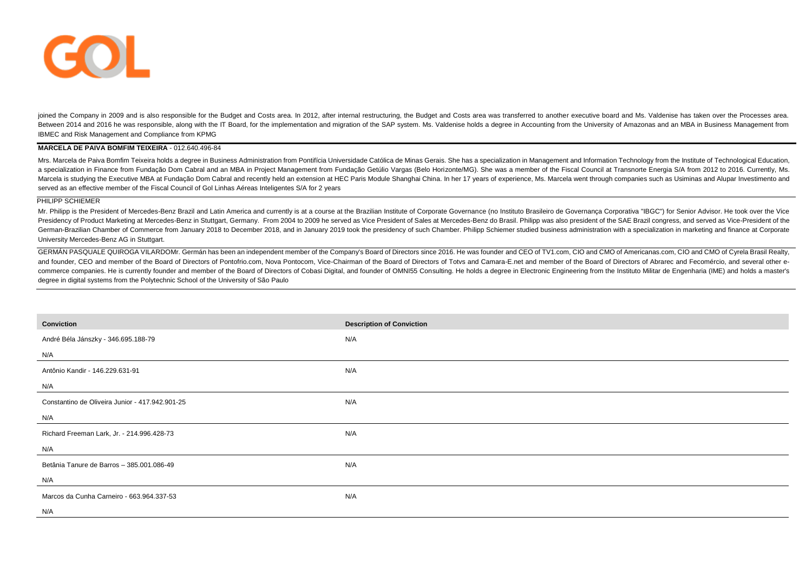

joined the Company in 2009 and is also responsible for the Budget and Costs area. In 2012, after internal restructuring, the Budget and Costs area was transferred to another executive board and Ms. Valdenise has taken over Between 2014 and 2016 he was responsible, along with the IT Board, for the implementation and migration of the SAP system. Ms. Valdenise holds a degree in Accounting from the University of Amazonas and an MBA in Business M IBMEC and Risk Management and Compliance from KPMG

#### **MARCELA DE PAIVA BOMFIM TEIXEIRA** - 012.640.496-84

Mrs. Marcela de Paiva Bomfim Teixeira holds a degree in Business Administration from Pontifícia Universidade Católica de Minas Gerais. She has a specialization in Management and Information Technology from the Institute of a specialization in Finance from Fundação Dom Cabral and an MBA in Project Management from Fundação Getúlio Vargas (Belo Horizonte/MG). She was a member of the Fiscal Council at Transnorte Energia S/A from 2012 to 2016. Cu Marcela is studying the Executive MBA at Fundação Dom Cabral and recently held an extension at HEC Paris Module Shanghai China. In her 17 years of experience, Ms. Marcela went through companies such as Usiminas and Alupar served as an effective member of the Fiscal Council of Gol Linhas Aéreas Inteligentes S/A for 2 years

#### PHILIPP SCHIEMER

Mr. Philipp is the President of Mercedes-Benz Brazil and Latin America and currently is at a course at the Brazilian Institute of Corporate Governance (no Instituto Brasileiro de Governanca Corporativa "IBGC") for Senior A Presidency of Product Marketing at Mercedes-Benz in Stuttgart, Germany. From 2004 to 2009 he served as Vice President of Sales at Mercedes-Benz do Brasil. Philipp was also president of the SAE Brazil congress, and served a German-Brazilian Chamber of Commerce from January 2018 to December 2018, and in January 2019 took the presidency of such Chamber. Philipp Schiemer studied business administration with a specialization in marketing and fina University Mercedes-Benz AG in Stuttgart.

GERMÁN PASQUALE QUIROGA VILARDOMr. Germán has been an independent member of the Company's Board of Directors since 2016. He was founder and CEO of TV1.com, CIO and CMO of Americanas.com, CIO and CMO of Cyrela Brasil Realty, and founder, CEO and member of the Board of Directors of Pontofrio.com, Nova Pontocom, Vice-Chairman of the Board of Directors of Totvs and Camara-E.net and member of the Board of Directors of Abrarec and Fecomércio, and s commerce companies. He is currently founder and member of the Board of Directors of Cobasi Digital, and founder of OMNI55 Consulting. He holds a degree in Electronic Engineering from the Instituto Militar de Engenharia (IM degree in digital systems from the Polytechnic School of the University of São Paulo

| Conviction                                      | <b>Description of Conviction</b> |
|-------------------------------------------------|----------------------------------|
| André Béla Jánszky - 346.695.188-79             | N/A                              |
| N/A                                             |                                  |
| Antônio Kandir - 146.229.631-91                 | N/A                              |
| N/A                                             |                                  |
| Constantino de Oliveira Junior - 417.942.901-25 | N/A                              |
| N/A                                             |                                  |
| Richard Freeman Lark, Jr. - 214.996.428-73      | N/A                              |
| N/A                                             |                                  |
| Betânia Tanure de Barros - 385.001.086-49       | N/A                              |
| N/A                                             |                                  |
| Marcos da Cunha Carneiro - 663.964.337-53       | N/A                              |
| N/A                                             |                                  |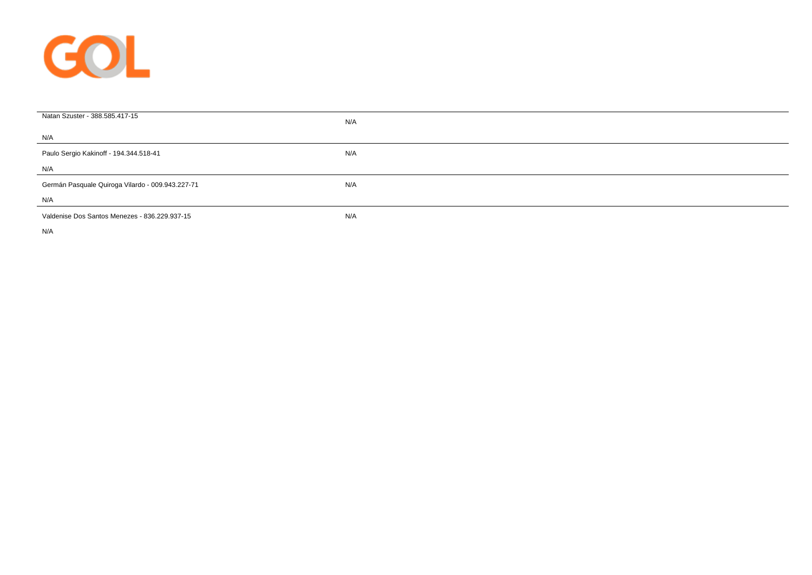

| Natan Szuster - 388.585.417-15                   | N/A |
|--------------------------------------------------|-----|
| N/A                                              |     |
| Paulo Sergio Kakinoff - 194.344.518-41           | N/A |
| N/A                                              |     |
| Germán Pasquale Quiroga Vilardo - 009.943.227-71 | N/A |
| N/A                                              |     |
| Valdenise Dos Santos Menezes - 836.229.937-15    | N/A |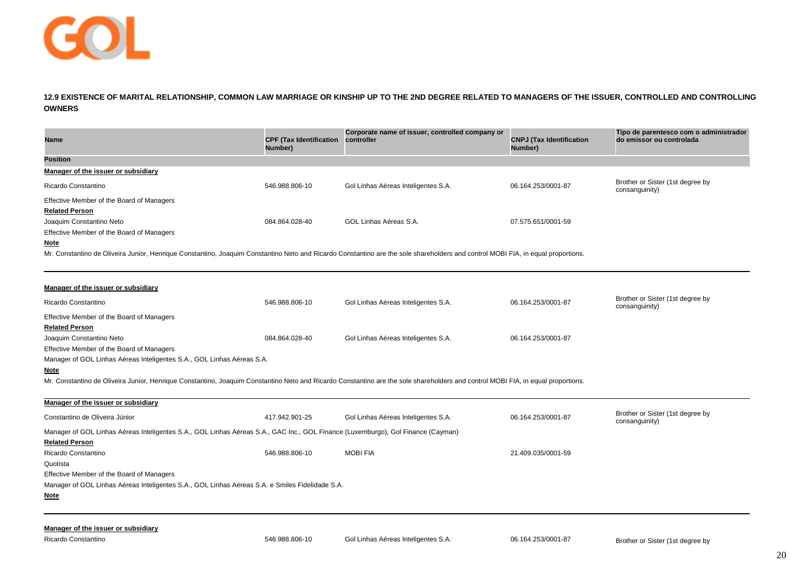

**12.9 EXISTENCE OF MARITAL RELATIONSHIP, COMMON LAW MARRIAGE OR KINSHIP UP TO THE 2ND DEGREE RELATED TO MANAGERS OF THE ISSUER, CONTROLLED AND CONTROLLING OWNERS**

| Name                                                                                                                                                                             | <b>CPF (Tax Identification</b><br>Number) | Corporate name of issuer, controlled company or<br>controller | <b>CNPJ</b> (Tax Identification<br>Number) | Tipo de parentesco com o administrador<br>do emissor ou controlada |
|----------------------------------------------------------------------------------------------------------------------------------------------------------------------------------|-------------------------------------------|---------------------------------------------------------------|--------------------------------------------|--------------------------------------------------------------------|
| <b>Position</b>                                                                                                                                                                  |                                           |                                                               |                                            |                                                                    |
| Manager of the issuer or subsidiary                                                                                                                                              |                                           |                                                               |                                            |                                                                    |
| Ricardo Constantino                                                                                                                                                              | 546.988.806-10                            | Gol Linhas Aéreas Inteligentes S.A.                           | 06.164.253/0001-87                         | Brother or Sister (1st degree by<br>consanguinity)                 |
| Effective Member of the Board of Managers                                                                                                                                        |                                           |                                                               |                                            |                                                                    |
| <b>Related Person</b>                                                                                                                                                            |                                           |                                                               |                                            |                                                                    |
| Joaquim Constantino Neto                                                                                                                                                         | 084.864.028-40                            | GOL Linhas Aéreas S.A.                                        | 07.575.651/0001-59                         |                                                                    |
| Effective Member of the Board of Managers                                                                                                                                        |                                           |                                                               |                                            |                                                                    |
| <b>Note</b>                                                                                                                                                                      |                                           |                                                               |                                            |                                                                    |
| Mr. Constantino de Oliveira Junior, Henrique Constantino, Joaquim Constantino Neto and Ricardo Constantino are the sole shareholders and control MOBI FIA, in equal proportions. |                                           |                                                               |                                            |                                                                    |
|                                                                                                                                                                                  |                                           |                                                               |                                            |                                                                    |
| Manager of the issuer or subsidiary                                                                                                                                              |                                           |                                                               |                                            |                                                                    |
| Ricardo Constantino                                                                                                                                                              | 546.988.806-10                            | Gol Linhas Aéreas Inteligentes S.A.                           | 06.164.253/0001-87                         | Brother or Sister (1st degree by<br>consanguinity)                 |
| Effective Member of the Board of Managers                                                                                                                                        |                                           |                                                               |                                            |                                                                    |
| <b>Related Person</b>                                                                                                                                                            |                                           |                                                               |                                            |                                                                    |
| Joaquim Constantino Neto                                                                                                                                                         | 084.864.028-40                            | Gol Linhas Aéreas Inteligentes S.A.                           | 06.164.253/0001-87                         |                                                                    |
| Effective Member of the Board of Managers                                                                                                                                        |                                           |                                                               |                                            |                                                                    |
| Manager of GOL Linhas Aéreas Inteligentes S.A., GOL Linhas Aéreas S.A.                                                                                                           |                                           |                                                               |                                            |                                                                    |
| <b>Note</b>                                                                                                                                                                      |                                           |                                                               |                                            |                                                                    |
| Mr. Constantino de Oliveira Junior, Henrique Constantino, Joaquim Constantino Neto and Ricardo Constantino are the sole shareholders and control MOBI FIA, in equal proportions. |                                           |                                                               |                                            |                                                                    |
| Manager of the issuer or subsidiary                                                                                                                                              |                                           |                                                               |                                            |                                                                    |
| Constantino de Oliveira Júnior                                                                                                                                                   | 417.942.901-25                            | Gol Linhas Aéreas Inteligentes S.A.                           | 06.164.253/0001-87                         | Brother or Sister (1st degree by<br>consanguinity)                 |

Manager of GOL Linhas Aéreas Inteligentes S.A., GOL Linhas Aéreas S.A., GAC Inc., GOL Finance (Luxemburgo), Gol Finance (Cayman) **Related Person** Ricardo Constantino 21.409.035/0001-59 (21.409.035/0001-59 ) 546.988.806-10 MOBI FIA 21.409.035/0001-59 Quotista Effective Member of the Board of Managers Manager of GOL Linhas Aéreas Inteligentes S.A., GOL Linhas Aéreas S.A. e Smiles Fidelidade S.A. **Note**

#### **Manager of the issuer or subsidiary**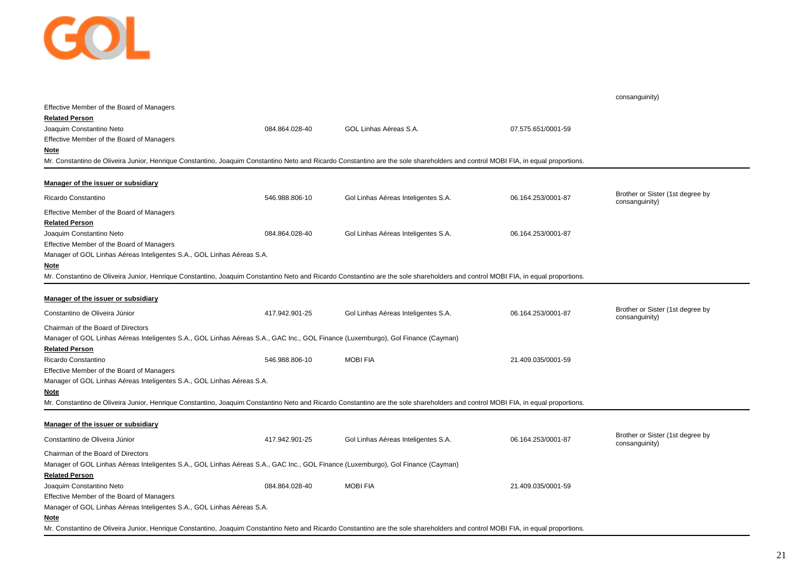

|                                                                                                                                                                                  |                |                                     |                    | consanguinity)                                     |
|----------------------------------------------------------------------------------------------------------------------------------------------------------------------------------|----------------|-------------------------------------|--------------------|----------------------------------------------------|
| Effective Member of the Board of Managers                                                                                                                                        |                |                                     |                    |                                                    |
| <b>Related Person</b>                                                                                                                                                            |                |                                     |                    |                                                    |
| Joaquim Constantino Neto                                                                                                                                                         | 084.864.028-40 | GOL Linhas Aéreas S.A.              | 07.575.651/0001-59 |                                                    |
| Effective Member of the Board of Managers                                                                                                                                        |                |                                     |                    |                                                    |
| Note                                                                                                                                                                             |                |                                     |                    |                                                    |
| Mr. Constantino de Oliveira Junior, Henrique Constantino, Joaquim Constantino Neto and Ricardo Constantino are the sole shareholders and control MOBI FIA, in equal proportions. |                |                                     |                    |                                                    |
|                                                                                                                                                                                  |                |                                     |                    |                                                    |
| Manager of the issuer or subsidiary                                                                                                                                              |                |                                     |                    | Brother or Sister (1st degree by                   |
| Ricardo Constantino                                                                                                                                                              | 546.988.806-10 | Gol Linhas Aéreas Inteligentes S.A. | 06.164.253/0001-87 | consanguinity)                                     |
| Effective Member of the Board of Managers                                                                                                                                        |                |                                     |                    |                                                    |
| <b>Related Person</b>                                                                                                                                                            |                |                                     |                    |                                                    |
| Joaquim Constantino Neto                                                                                                                                                         | 084.864.028-40 | Gol Linhas Aéreas Inteligentes S.A. | 06.164.253/0001-87 |                                                    |
| Effective Member of the Board of Managers                                                                                                                                        |                |                                     |                    |                                                    |
| Manager of GOL Linhas Aéreas Inteligentes S.A., GOL Linhas Aéreas S.A.                                                                                                           |                |                                     |                    |                                                    |
| Note                                                                                                                                                                             |                |                                     |                    |                                                    |
| Mr. Constantino de Oliveira Junior, Henrique Constantino, Joaquim Constantino Neto and Ricardo Constantino are the sole shareholders and control MOBI FIA, in equal proportions. |                |                                     |                    |                                                    |
|                                                                                                                                                                                  |                |                                     |                    |                                                    |
| Manager of the issuer or subsidiary                                                                                                                                              |                |                                     |                    |                                                    |
| Constantino de Oliveira Júnior                                                                                                                                                   | 417.942.901-25 | Gol Linhas Aéreas Inteligentes S.A. | 06.164.253/0001-87 | Brother or Sister (1st degree by<br>consanguinity) |
| Chairman of the Board of Directors                                                                                                                                               |                |                                     |                    |                                                    |
| Manager of GOL Linhas Aéreas Inteligentes S.A., GOL Linhas Aéreas S.A., GAC Inc., GOL Finance (Luxemburgo), Gol Finance (Cayman)                                                 |                |                                     |                    |                                                    |
| <b>Related Person</b>                                                                                                                                                            |                |                                     |                    |                                                    |
| Ricardo Constantino                                                                                                                                                              | 546.988.806-10 | <b>MOBIFIA</b>                      | 21.409.035/0001-59 |                                                    |
| Effective Member of the Board of Managers                                                                                                                                        |                |                                     |                    |                                                    |
| Manager of GOL Linhas Aéreas Inteligentes S.A., GOL Linhas Aéreas S.A.                                                                                                           |                |                                     |                    |                                                    |
| Note                                                                                                                                                                             |                |                                     |                    |                                                    |
| Mr. Constantino de Oliveira Junior, Henrique Constantino, Joaquim Constantino Neto and Ricardo Constantino are the sole shareholders and control MOBI FIA, in equal proportions. |                |                                     |                    |                                                    |
|                                                                                                                                                                                  |                |                                     |                    |                                                    |
| Manager of the issuer or subsidiary                                                                                                                                              |                |                                     |                    |                                                    |
| Constantino de Oliveira Júnior                                                                                                                                                   | 417.942.901-25 | Gol Linhas Aéreas Inteligentes S.A. | 06.164.253/0001-87 | Brother or Sister (1st degree by<br>consanguinity) |
| Chairman of the Board of Directors                                                                                                                                               |                |                                     |                    |                                                    |
| Manager of GOL Linhas Aéreas Inteligentes S.A., GOL Linhas Aéreas S.A., GAC Inc., GOL Finance (Luxemburgo), Gol Finance (Cayman)                                                 |                |                                     |                    |                                                    |
| <b>Related Person</b>                                                                                                                                                            |                |                                     |                    |                                                    |
| Joaquim Constantino Neto                                                                                                                                                         | 084.864.028-40 | <b>MOBIFIA</b>                      | 21.409.035/0001-59 |                                                    |
| Effective Member of the Board of Managers                                                                                                                                        |                |                                     |                    |                                                    |
| Manager of GOL Linhas Aéreas Inteligentes S.A., GOL Linhas Aéreas S.A.                                                                                                           |                |                                     |                    |                                                    |
| Note                                                                                                                                                                             |                |                                     |                    |                                                    |
| Mr. Constantino de Oliveira Junior, Henrique Constantino, Joaquim Constantino Neto and Ricardo Constantino are the sole shareholders and control MOBI FIA, in equal proportions. |                |                                     |                    |                                                    |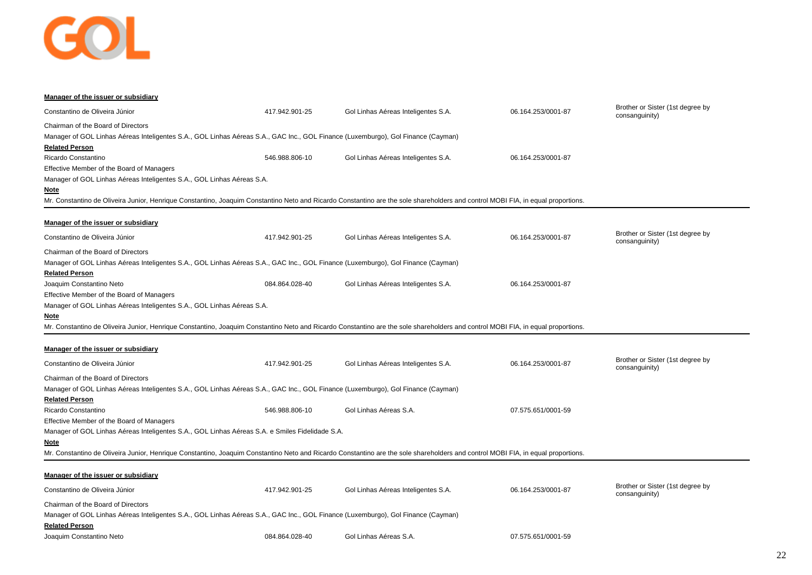

| Manager of the issuer or subsidiary                                                                                                                                              |                |                                     |                    |                                                    |
|----------------------------------------------------------------------------------------------------------------------------------------------------------------------------------|----------------|-------------------------------------|--------------------|----------------------------------------------------|
| Constantino de Oliveira Júnior                                                                                                                                                   | 417.942.901-25 | Gol Linhas Aéreas Inteligentes S.A. | 06.164.253/0001-87 | Brother or Sister (1st degree by<br>consanguinity) |
| Chairman of the Board of Directors                                                                                                                                               |                |                                     |                    |                                                    |
| Manager of GOL Linhas Aéreas Inteligentes S.A., GOL Linhas Aéreas S.A., GAC Inc., GOL Finance (Luxemburgo), Gol Finance (Cayman)                                                 |                |                                     |                    |                                                    |
| <b>Related Person</b>                                                                                                                                                            |                |                                     |                    |                                                    |
| Ricardo Constantino                                                                                                                                                              | 546.988.806-10 | Gol Linhas Aéreas Inteligentes S.A. | 06.164.253/0001-87 |                                                    |
| Effective Member of the Board of Managers                                                                                                                                        |                |                                     |                    |                                                    |
| Manager of GOL Linhas Aéreas Inteligentes S.A., GOL Linhas Aéreas S.A.                                                                                                           |                |                                     |                    |                                                    |
| <u>Note</u>                                                                                                                                                                      |                |                                     |                    |                                                    |
| Mr. Constantino de Oliveira Junior, Henrique Constantino, Joaquim Constantino Neto and Ricardo Constantino are the sole shareholders and control MOBI FIA, in equal proportions. |                |                                     |                    |                                                    |
| Manager of the issuer or subsidiary                                                                                                                                              |                |                                     |                    |                                                    |
| Constantino de Oliveira Júnior                                                                                                                                                   | 417.942.901-25 | Gol Linhas Aéreas Inteligentes S.A. | 06.164.253/0001-87 | Brother or Sister (1st degree by<br>consanguinity) |
| Chairman of the Board of Directors                                                                                                                                               |                |                                     |                    |                                                    |
| Manager of GOL Linhas Aéreas Inteligentes S.A., GOL Linhas Aéreas S.A., GAC Inc., GOL Finance (Luxemburgo), Gol Finance (Cayman)                                                 |                |                                     |                    |                                                    |
| <b>Related Person</b>                                                                                                                                                            |                |                                     |                    |                                                    |
| Joaquim Constantino Neto                                                                                                                                                         | 084.864.028-40 | Gol Linhas Aéreas Inteligentes S.A. | 06.164.253/0001-87 |                                                    |
| Effective Member of the Board of Managers                                                                                                                                        |                |                                     |                    |                                                    |
| Manager of GOL Linhas Aéreas Inteligentes S.A., GOL Linhas Aéreas S.A.                                                                                                           |                |                                     |                    |                                                    |
| Note                                                                                                                                                                             |                |                                     |                    |                                                    |
| Mr. Constantino de Oliveira Junior, Henrique Constantino, Joaquim Constantino Neto and Ricardo Constantino are the sole shareholders and control MOBI FIA, in equal proportions. |                |                                     |                    |                                                    |
| Manager of the issuer or subsidiary                                                                                                                                              |                |                                     |                    |                                                    |
| Constantino de Oliveira Júnior                                                                                                                                                   | 417.942.901-25 | Gol Linhas Aéreas Inteligentes S.A. | 06.164.253/0001-87 | Brother or Sister (1st degree by<br>consanguinity) |
| Chairman of the Board of Directors                                                                                                                                               |                |                                     |                    |                                                    |
| Manager of GOL Linhas Aéreas Inteligentes S.A., GOL Linhas Aéreas S.A., GAC Inc., GOL Finance (Luxemburgo), Gol Finance (Cayman)                                                 |                |                                     |                    |                                                    |
| <b>Related Person</b>                                                                                                                                                            |                |                                     |                    |                                                    |
| Ricardo Constantino                                                                                                                                                              | 546.988.806-10 | Gol Linhas Aéreas S.A.              | 07.575.651/0001-59 |                                                    |
| Effective Member of the Board of Managers                                                                                                                                        |                |                                     |                    |                                                    |
| Manager of GOL Linhas Aéreas Inteligentes S.A., GOL Linhas Aéreas S.A. e Smiles Fidelidade S.A.                                                                                  |                |                                     |                    |                                                    |
| <b>Note</b>                                                                                                                                                                      |                |                                     |                    |                                                    |
| Mr. Constantino de Oliveira Junior, Henrique Constantino, Joaquim Constantino Neto and Ricardo Constantino are the sole shareholders and control MOBI FIA, in equal proportions. |                |                                     |                    |                                                    |
| Manager of the issuer or subsidiary                                                                                                                                              |                |                                     |                    |                                                    |
| Constantino de Oliveira Júnior                                                                                                                                                   | 417.942.901-25 | Gol Linhas Aéreas Inteligentes S.A. | 06.164.253/0001-87 | Brother or Sister (1st degree by<br>consanguinity) |
| Chairman of the Board of Directors                                                                                                                                               |                |                                     |                    |                                                    |
| Manager of GOL Linhas Aéreas Inteligentes S.A., GOL Linhas Aéreas S.A., GAC Inc., GOL Finance (Luxemburgo), Gol Finance (Cayman)                                                 |                |                                     |                    |                                                    |
| <b>Related Person</b>                                                                                                                                                            |                |                                     |                    |                                                    |
| Joaquim Constantino Neto                                                                                                                                                         | 084.864.028-40 | Gol Linhas Aéreas S.A.              | 07.575.651/0001-59 |                                                    |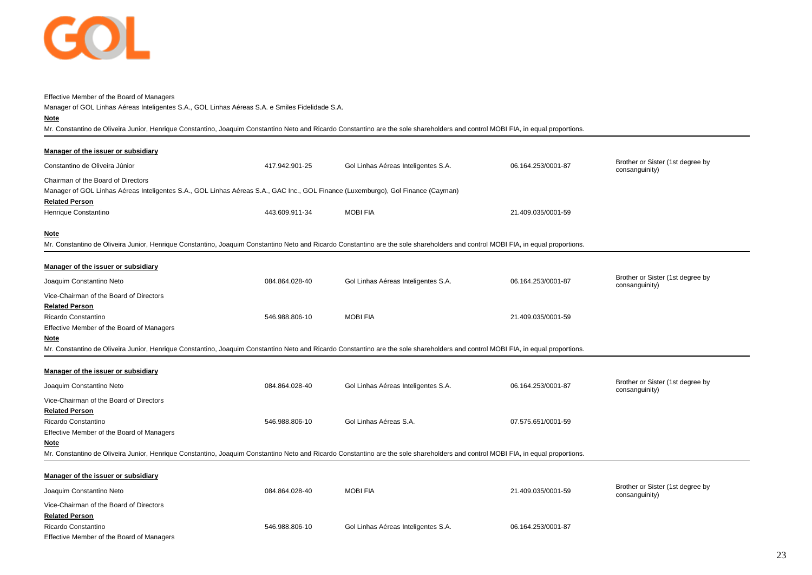

#### Effective Member of the Board of Managers

Manager of GOL Linhas Aéreas Inteligentes S.A., GOL Linhas Aéreas S.A. e Smiles Fidelidade S.A.

## **Note**

Mr. Constantino de Oliveira Junior, Henrique Constantino, Joaquim Constantino Neto and Ricardo Constantino are the sole shareholders and control MOBI FIA, in equal proportions.

| Manager of the issuer or subsidiary                                                                                                                                              |                |                                     |                    |                                                    |
|----------------------------------------------------------------------------------------------------------------------------------------------------------------------------------|----------------|-------------------------------------|--------------------|----------------------------------------------------|
| Constantino de Oliveira Júnior                                                                                                                                                   | 417.942.901-25 | Gol Linhas Aéreas Inteligentes S.A. | 06.164.253/0001-87 | Brother or Sister (1st degree by                   |
| Chairman of the Board of Directors                                                                                                                                               |                |                                     |                    | consanguinity)                                     |
| Manager of GOL Linhas Aéreas Inteligentes S.A., GOL Linhas Aéreas S.A., GAC Inc., GOL Finance (Luxemburgo), Gol Finance (Cayman)                                                 |                |                                     |                    |                                                    |
| <b>Related Person</b>                                                                                                                                                            |                |                                     |                    |                                                    |
| Henrique Constantino                                                                                                                                                             | 443.609.911-34 | <b>MOBIFIA</b>                      | 21.409.035/0001-59 |                                                    |
| <b>Note</b>                                                                                                                                                                      |                |                                     |                    |                                                    |
| Mr. Constantino de Oliveira Junior, Henrique Constantino, Joaquim Constantino Neto and Ricardo Constantino are the sole shareholders and control MOBI FIA, in equal proportions. |                |                                     |                    |                                                    |
| Manager of the issuer or subsidiary                                                                                                                                              |                |                                     |                    |                                                    |
| Joaquim Constantino Neto                                                                                                                                                         | 084.864.028-40 | Gol Linhas Aéreas Inteligentes S.A. | 06.164.253/0001-87 | Brother or Sister (1st degree by<br>consanguinity) |
| Vice-Chairman of the Board of Directors                                                                                                                                          |                |                                     |                    |                                                    |
| <b>Related Person</b>                                                                                                                                                            |                |                                     |                    |                                                    |
| Ricardo Constantino                                                                                                                                                              | 546.988.806-10 | <b>MOBIFIA</b>                      | 21.409.035/0001-59 |                                                    |
| Effective Member of the Board of Managers                                                                                                                                        |                |                                     |                    |                                                    |
| <b>Note</b>                                                                                                                                                                      |                |                                     |                    |                                                    |
| Mr. Constantino de Oliveira Junior, Henrique Constantino, Joaquim Constantino Neto and Ricardo Constantino are the sole shareholders and control MOBI FIA, in equal proportions. |                |                                     |                    |                                                    |
| Manager of the issuer or subsidiary                                                                                                                                              |                |                                     |                    |                                                    |
| Joaquim Constantino Neto                                                                                                                                                         | 084.864.028-40 | Gol Linhas Aéreas Inteligentes S.A. | 06.164.253/0001-87 | Brother or Sister (1st degree by<br>consanguinity) |
| Vice-Chairman of the Board of Directors                                                                                                                                          |                |                                     |                    |                                                    |
| <b>Related Person</b>                                                                                                                                                            |                |                                     |                    |                                                    |
| Ricardo Constantino                                                                                                                                                              | 546.988.806-10 | Gol Linhas Aéreas S.A.              | 07.575.651/0001-59 |                                                    |
| Effective Member of the Board of Managers                                                                                                                                        |                |                                     |                    |                                                    |
| Note                                                                                                                                                                             |                |                                     |                    |                                                    |
| Mr. Constantino de Oliveira Junior, Henrique Constantino, Joaquim Constantino Neto and Ricardo Constantino are the sole shareholders and control MOBI FIA, in equal proportions. |                |                                     |                    |                                                    |
| Manager of the issuer or subsidiary                                                                                                                                              |                |                                     |                    |                                                    |
| Joaquim Constantino Neto                                                                                                                                                         | 084.864.028-40 | <b>MOBIFIA</b>                      | 21.409.035/0001-59 | Brother or Sister (1st degree by                   |
|                                                                                                                                                                                  |                |                                     |                    | consanguinity)                                     |
| Vice-Chairman of the Board of Directors<br><b>Related Person</b>                                                                                                                 |                |                                     |                    |                                                    |
| Ricardo Constantino                                                                                                                                                              | 546.988.806-10 | Gol Linhas Aéreas Inteligentes S.A. | 06.164.253/0001-87 |                                                    |
| Effective Member of the Board of Managers                                                                                                                                        |                |                                     |                    |                                                    |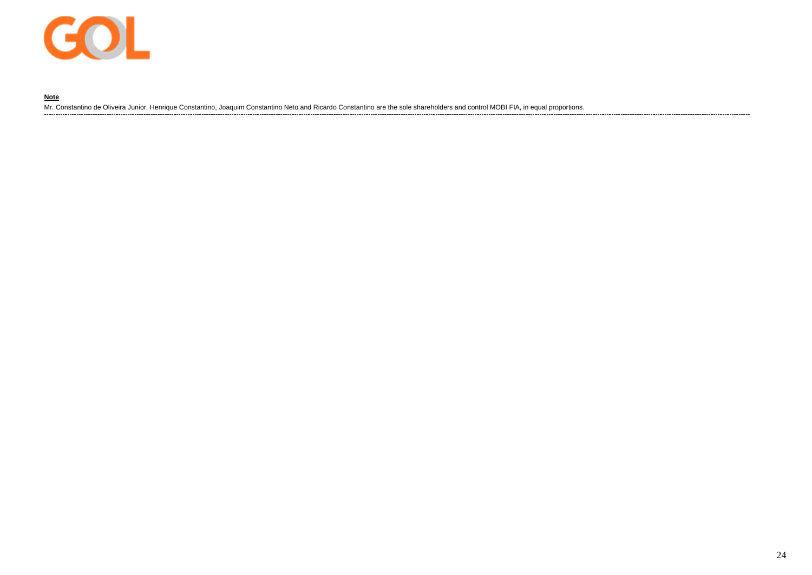

## **Note**

Mr. Constantino de Oliveira Junior, Henrique Constantino, Joaquim Constantino Neto and Ricardo Constantino are the sole shareholders and control MOBI FIA, in equal proportions.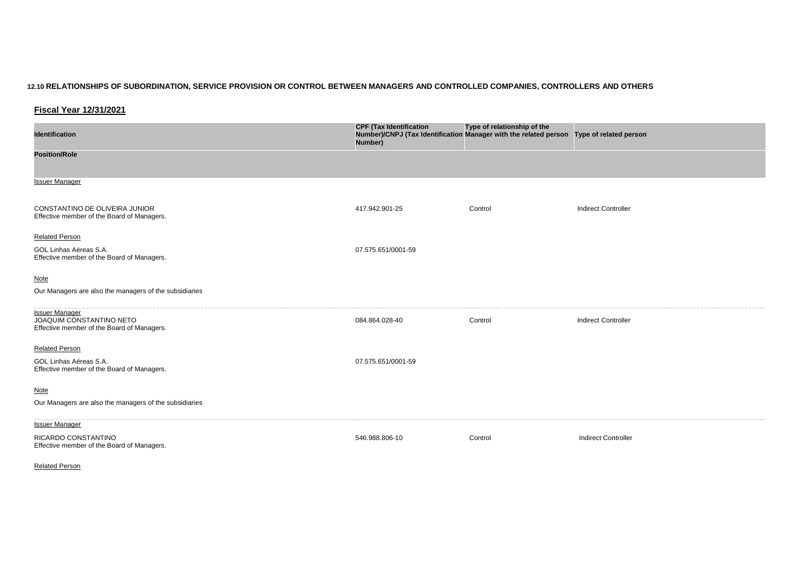## **12.10 RELATIONSHIPS OF SUBORDINATION, SERVICE PROVISION OR CONTROL BETWEEN MANAGERS AND CONTROLLED COMPANIES, CONTROLLERS AND OTHERS**

**Fiscal Year 12/31/2021**

| <b>Identification</b>                                                                           | <b>CPF (Tax Identification</b><br>Number)/CNPJ (Tax Identification Manager with the related person Type of related person<br>Number) | Type of relationship of the |                            |
|-------------------------------------------------------------------------------------------------|--------------------------------------------------------------------------------------------------------------------------------------|-----------------------------|----------------------------|
| <b>Position/Role</b>                                                                            |                                                                                                                                      |                             |                            |
| <b>Issuer Manager</b>                                                                           |                                                                                                                                      |                             |                            |
| CONSTANTINO DE OLIVEIRA JUNIOR<br>Effective member of the Board of Managers.                    | 417.942.901-25                                                                                                                       | Control                     | <b>Indirect Controller</b> |
| <b>Related Person</b>                                                                           |                                                                                                                                      |                             |                            |
| GOL Linhas Aéreas S.A.<br>Effective member of the Board of Managers.                            | 07.575.651/0001-59                                                                                                                   |                             |                            |
| <b>Note</b>                                                                                     |                                                                                                                                      |                             |                            |
| Our Managers are also the managers of the subsidiaries                                          |                                                                                                                                      |                             |                            |
| <b>Issuer Manager</b><br>JOAQUIM CONSTANTINO NETO<br>Effective member of the Board of Managers. | 084.864.028-40                                                                                                                       | Control                     | <b>Indirect Controller</b> |
| <b>Related Person</b>                                                                           |                                                                                                                                      |                             |                            |
| GOL Linhas Aéreas S.A.<br>Effective member of the Board of Managers.                            | 07.575.651/0001-59                                                                                                                   |                             |                            |
| <b>Note</b>                                                                                     |                                                                                                                                      |                             |                            |
| Our Managers are also the managers of the subsidiaries                                          |                                                                                                                                      |                             |                            |
| <b>Issuer Manager</b>                                                                           |                                                                                                                                      |                             |                            |
| RICARDO CONSTANTINO<br>Effective member of the Board of Managers.                               | 546.988.806-10                                                                                                                       | Control                     | <b>Indirect Controller</b> |

Related Person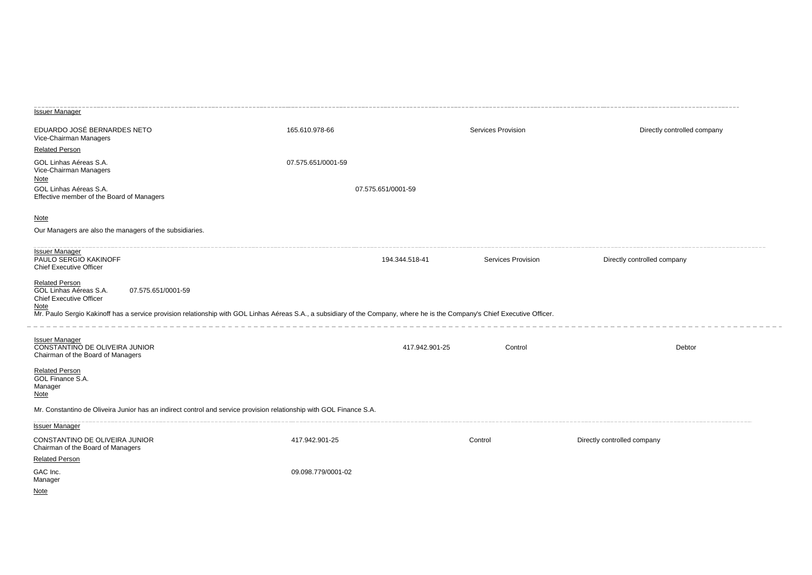| <b>Issuer Manager</b>                                                                                               |                                                                                                                                                                             |                           |                             |
|---------------------------------------------------------------------------------------------------------------------|-----------------------------------------------------------------------------------------------------------------------------------------------------------------------------|---------------------------|-----------------------------|
| EDUARDO JOSÉ BERNARDES NETO<br>Vice-Chairman Managers                                                               | 165.610.978-66                                                                                                                                                              | Services Provision        | Directly controlled company |
| <b>Related Person</b>                                                                                               |                                                                                                                                                                             |                           |                             |
| GOL Linhas Aéreas S.A.<br>Vice-Chairman Managers                                                                    | 07.575.651/0001-59                                                                                                                                                          |                           |                             |
| Note<br>GOL Linhas Aéreas S.A.                                                                                      | 07.575.651/0001-59                                                                                                                                                          |                           |                             |
| Effective member of the Board of Managers                                                                           |                                                                                                                                                                             |                           |                             |
| <b>Note</b>                                                                                                         |                                                                                                                                                                             |                           |                             |
| Our Managers are also the managers of the subsidiaries.                                                             |                                                                                                                                                                             |                           |                             |
|                                                                                                                     |                                                                                                                                                                             |                           |                             |
| <b>Issuer Manager</b><br>PAULO SERGIO KAKINOFF<br><b>Chief Executive Officer</b>                                    | 194.344.518-41                                                                                                                                                              | Services Provision        | Directly controlled company |
| <b>Related Person</b><br>GOL Linhas Aéreas S.A.<br>07.575.651/0001-59<br>Chief Executive Officer                    |                                                                                                                                                                             |                           |                             |
| <u>Note</u>                                                                                                         | Mr. Paulo Sergio Kakinoff has a service provision relationship with GOL Linhas Aéreas S.A., a subsidiary of the Company, where he is the Company's Chief Executive Officer. |                           |                             |
| <b>Issuer Manager</b>                                                                                               |                                                                                                                                                                             |                           |                             |
| CONSTANTINO DE OLIVEIRA JUNIOR<br>Chairman of the Board of Managers                                                 |                                                                                                                                                                             | 417.942.901-25<br>Control | Debtor                      |
|                                                                                                                     |                                                                                                                                                                             |                           |                             |
| <b>Related Person</b><br>GOL Finance S.A.                                                                           |                                                                                                                                                                             |                           |                             |
| Manager<br><u>Note</u>                                                                                              |                                                                                                                                                                             |                           |                             |
| Mr. Constantino de Oliveira Junior has an indirect control and service provision relationship with GOL Finance S.A. |                                                                                                                                                                             |                           |                             |
| <b>Issuer Manager</b>                                                                                               |                                                                                                                                                                             |                           |                             |
| CONSTANTINO DE OLIVEIRA JUNIOR                                                                                      | 417.942.901-25                                                                                                                                                              | Control                   | Directly controlled company |
| Chairman of the Board of Managers                                                                                   |                                                                                                                                                                             |                           |                             |
| <b>Related Person</b>                                                                                               |                                                                                                                                                                             |                           |                             |
| GAC Inc.<br>Manager                                                                                                 | 09.098.779/0001-02                                                                                                                                                          |                           |                             |
| <b>Note</b>                                                                                                         |                                                                                                                                                                             |                           |                             |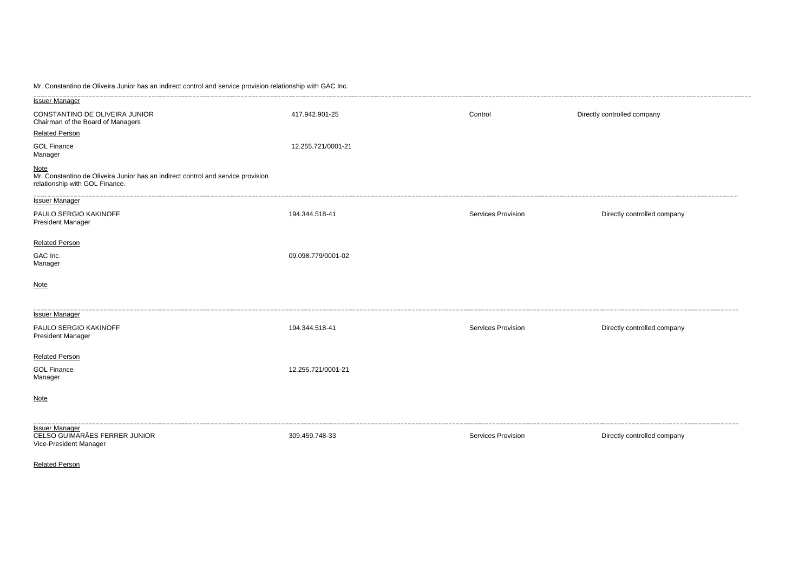Mr. Constantino de Oliveira Junior has an indirect control and service provision relationship with GAC Inc.

| <b>Issuer Manager</b>                                                                                                             |                    |                    |                             |
|-----------------------------------------------------------------------------------------------------------------------------------|--------------------|--------------------|-----------------------------|
| CONSTANTINO DE OLIVEIRA JUNIOR<br>Chairman of the Board of Managers                                                               | 417.942.901-25     | Control            | Directly controlled company |
| <b>Related Person</b>                                                                                                             |                    |                    |                             |
| <b>GOL Finance</b><br>Manager                                                                                                     | 12.255.721/0001-21 |                    |                             |
| <u>Note</u><br>Mr. Constantino de Oliveira Junior has an indirect control and service provision<br>relationship with GOL Finance. |                    |                    |                             |
| <b>Issuer Manager</b>                                                                                                             |                    |                    |                             |
| PAULO SERGIO KAKINOFF<br><b>President Manager</b>                                                                                 | 194.344.518-41     | Services Provision | Directly controlled company |
| <b>Related Person</b>                                                                                                             |                    |                    |                             |
| GAC Inc.<br>Manager                                                                                                               | 09.098.779/0001-02 |                    |                             |
| <b>Note</b>                                                                                                                       |                    |                    |                             |
| <b>Issuer Manager</b>                                                                                                             |                    |                    |                             |
| PAULO SERGIO KAKINOFF<br><b>President Manager</b>                                                                                 | 194.344.518-41     | Services Provision | Directly controlled company |
| <b>Related Person</b>                                                                                                             |                    |                    |                             |
| <b>GOL Finance</b><br>Manager                                                                                                     | 12.255.721/0001-21 |                    |                             |
| <b>Note</b>                                                                                                                       |                    |                    |                             |
| <b>Issuer Manager</b><br>CELSO GUIMARÃES FERRER JUNIOR<br>Vice-President Manager                                                  | 309.459.748-33     | Services Provision | Directly controlled company |

Related Person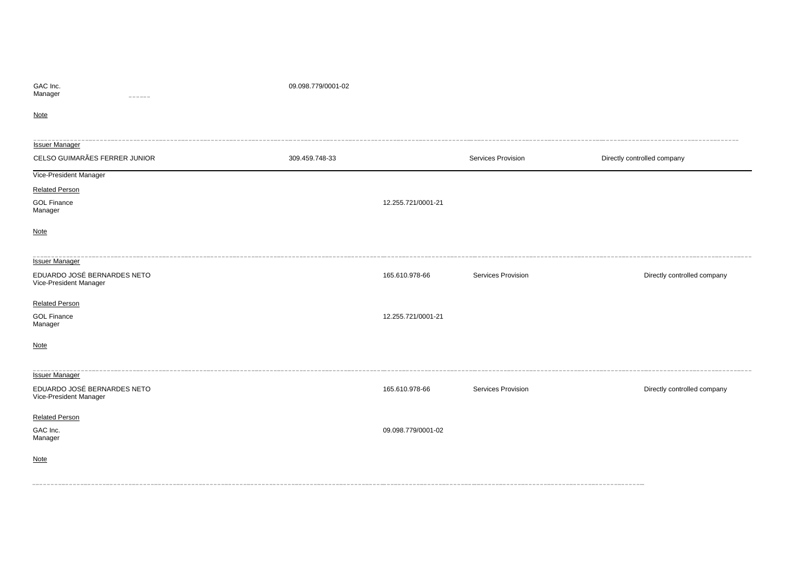| GAC Inc. |  |
|----------|--|
| Manager  |  |

#### 09.098.779/0001-02

**Note** 

| <b>Issuer Manager</b>                                 |                |                    |                    |                             |
|-------------------------------------------------------|----------------|--------------------|--------------------|-----------------------------|
| CELSO GUIMARÃES FERRER JUNIOR                         | 309.459.748-33 |                    | Services Provision | Directly controlled company |
| Vice-President Manager                                |                |                    |                    |                             |
| <b>Related Person</b>                                 |                |                    |                    |                             |
| <b>GOL Finance</b><br>Manager                         |                | 12.255.721/0001-21 |                    |                             |
| <b>Note</b>                                           |                |                    |                    |                             |
| <b>Issuer Manager</b>                                 |                |                    |                    |                             |
| EDUARDO JOSÉ BERNARDES NETO<br>Vice-President Manager |                | 165.610.978-66     | Services Provision | Directly controlled company |
| <b>Related Person</b>                                 |                |                    |                    |                             |
| <b>GOL Finance</b><br>Manager                         |                | 12.255.721/0001-21 |                    |                             |
| <b>Note</b>                                           |                |                    |                    |                             |
| <b>Issuer Manager</b>                                 |                |                    |                    |                             |
| EDUARDO JOSÉ BERNARDES NETO<br>Vice-President Manager |                | 165.610.978-66     | Services Provision | Directly controlled company |
| <b>Related Person</b>                                 |                |                    |                    |                             |
| GAC Inc.<br>Manager                                   |                | 09.098.779/0001-02 |                    |                             |
| <b>Note</b>                                           |                |                    |                    |                             |
|                                                       |                |                    |                    |                             |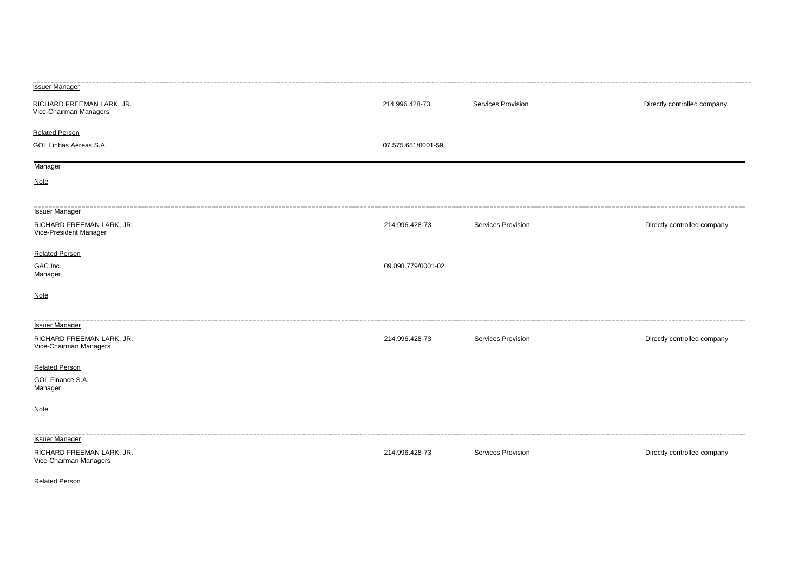| <b>Issuer Manager</b>                               |                    |                    |                             |
|-----------------------------------------------------|--------------------|--------------------|-----------------------------|
| RICHARD FREEMAN LARK, JR.<br>Vice-Chairman Managers | 214.996.428-73     | Services Provision | Directly controlled company |
| <b>Related Person</b>                               |                    |                    |                             |
| GOL Linhas Aéreas S.A.                              | 07.575.651/0001-59 |                    |                             |
| Manager                                             |                    |                    |                             |
| <b>Note</b>                                         |                    |                    |                             |
| <b>Issuer Manager</b>                               |                    |                    |                             |
| RICHARD FREEMAN LARK, JR.<br>Vice-President Manager | 214.996.428-73     | Services Provision | Directly controlled company |
| <b>Related Person</b>                               |                    |                    |                             |
| GAC Inc.<br>Manager                                 | 09.098.779/0001-02 |                    |                             |
| <b>Note</b>                                         |                    |                    |                             |
| <b>Issuer Manager</b>                               |                    |                    |                             |
| RICHARD FREEMAN LARK, JR.<br>Vice-Chairman Managers | 214.996.428-73     | Services Provision | Directly controlled company |
| <b>Related Person</b>                               |                    |                    |                             |
| GOL Finance S.A.<br>Manager                         |                    |                    |                             |
| <b>Note</b>                                         |                    |                    |                             |
| <b>Issuer Manager</b>                               |                    |                    |                             |
| RICHARD FREEMAN LARK, JR.<br>Vice-Chairman Managers | 214.996.428-73     | Services Provision | Directly controlled company |

Related Person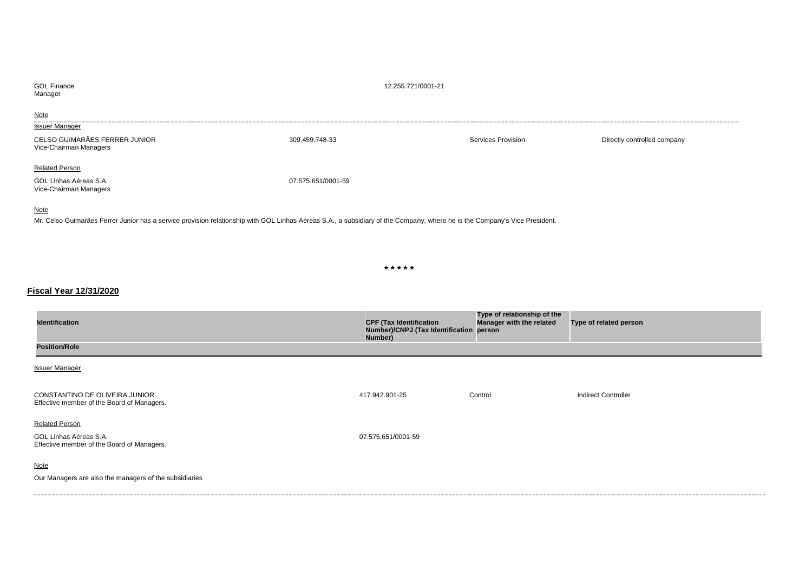| <b>GOL Finance</b><br>Manager                                             | 12.255.721/0001-21 |                    |                             |
|---------------------------------------------------------------------------|--------------------|--------------------|-----------------------------|
| <b>Note</b><br><b>Issuer Manager</b>                                      |                    |                    |                             |
| CELSO GUIMARÃES FERRER JUNIOR<br>Vice-Chairman Managers                   | 309.459.748-33     | Services Provision | Directly controlled company |
| <b>Related Person</b><br>GOL Linhas Aéreas S.A.<br>Vice-Chairman Managers | 07.575.651/0001-59 |                    |                             |

## Note

Mr. Celso Guimarães Ferrer Junior has a service provision relationship with GOL Linhas Aéreas S.A., a subsidiary of the Company, where he is the Company's Vice President.

**\* \* \* \* \***

## **Fiscal Year 12/31/2020**

| <b>Identification</b>                                                                         | <b>CPF (Tax Identification</b><br>Number)/CNPJ (Tax Identification person<br>Number) | Type of relationship of the<br>Manager with the related | Type of related person     |
|-----------------------------------------------------------------------------------------------|--------------------------------------------------------------------------------------|---------------------------------------------------------|----------------------------|
| <b>Position/Role</b>                                                                          |                                                                                      |                                                         |                            |
| <b>Issuer Manager</b>                                                                         |                                                                                      |                                                         |                            |
| CONSTANTINO DE OLIVEIRA JUNIOR<br>Effective member of the Board of Managers.                  | 417.942.901-25                                                                       | Control                                                 | <b>Indirect Controller</b> |
| <b>Related Person</b><br>GOL Linhas Aéreas S.A.<br>Effective member of the Board of Managers. | 07.575.651/0001-59                                                                   |                                                         |                            |
| <b>Note</b><br>Our Managers are also the managers of the subsidiaries                         |                                                                                      |                                                         |                            |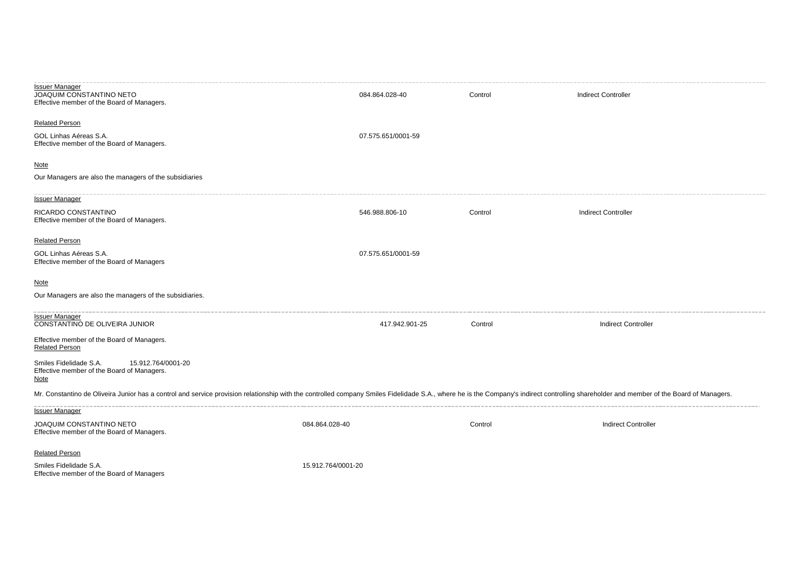| <b>Issuer Manager</b><br>JOAQUIM CONSTANTINO NETO<br>Effective member of the Board of Managers.                                                                                                                               | 084.864.028-40     | Control | <b>Indirect Controller</b> |
|-------------------------------------------------------------------------------------------------------------------------------------------------------------------------------------------------------------------------------|--------------------|---------|----------------------------|
| <b>Related Person</b>                                                                                                                                                                                                         |                    |         |                            |
| GOL Linhas Aéreas S.A.<br>Effective member of the Board of Managers.                                                                                                                                                          | 07.575.651/0001-59 |         |                            |
| <b>Note</b>                                                                                                                                                                                                                   |                    |         |                            |
| Our Managers are also the managers of the subsidiaries                                                                                                                                                                        |                    |         |                            |
| <b>Issuer Manager</b>                                                                                                                                                                                                         |                    |         |                            |
| RICARDO CONSTANTINO<br>Effective member of the Board of Managers.                                                                                                                                                             | 546.988.806-10     | Control | <b>Indirect Controller</b> |
| <b>Related Person</b>                                                                                                                                                                                                         |                    |         |                            |
| GOL Linhas Aéreas S.A.<br>Effective member of the Board of Managers                                                                                                                                                           | 07.575.651/0001-59 |         |                            |
| <b>Note</b>                                                                                                                                                                                                                   |                    |         |                            |
| Our Managers are also the managers of the subsidiaries.                                                                                                                                                                       |                    |         |                            |
| <b>Issuer Manager</b><br>CONSTANTINO DE OLIVEIRA JUNIOR                                                                                                                                                                       | 417.942.901-25     | Control | <b>Indirect Controller</b> |
| Effective member of the Board of Managers.<br><b>Related Person</b>                                                                                                                                                           |                    |         |                            |
| 15.912.764/0001-20<br>Smiles Fidelidade S.A.<br>Effective member of the Board of Managers.<br><b>Note</b>                                                                                                                     |                    |         |                            |
| Mr. Constantino de Oliveira Junior has a control and service provision relationship with the controlled company Smiles Fidelidade S.A., where he is the Company's indirect controlling shareholder and member of the Board of |                    |         |                            |
| <b>Issuer Manager</b>                                                                                                                                                                                                         |                    |         |                            |
| JOAQUIM CONSTANTINO NETO<br>Effective member of the Board of Managers.                                                                                                                                                        | 084.864.028-40     | Control | <b>Indirect Controller</b> |
| <b>Related Person</b>                                                                                                                                                                                                         |                    |         |                            |
| Smiles Fidelidade S.A.<br>Effective member of the Board of Managers                                                                                                                                                           | 15.912.764/0001-20 |         |                            |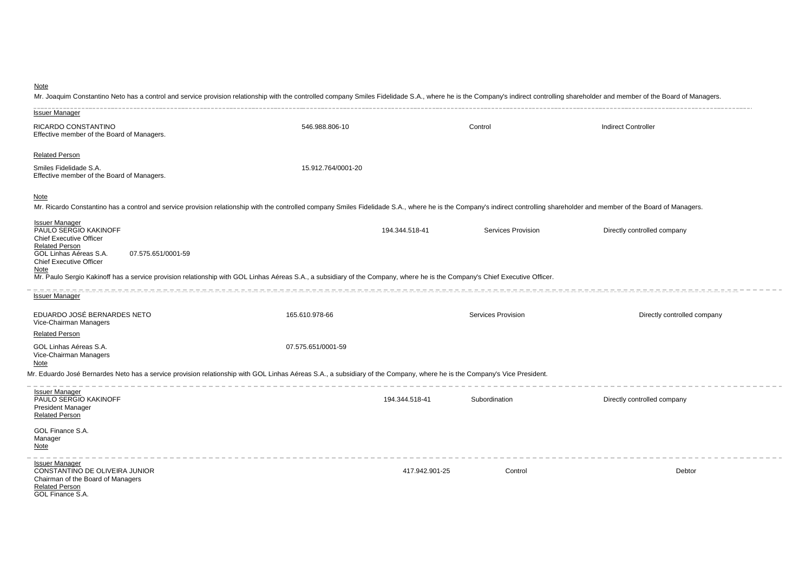## **Note**

Mr. Joaquim Constantino Neto has a control and service provision relationship with the controlled company Smiles Fidelidade S.A., where he is the Company's indirect controlling shareholder and member of the Board of Manage

| <b>Issuer Manager</b>                                                                                                                                                                                                                       |                    |                |                           |                             |
|---------------------------------------------------------------------------------------------------------------------------------------------------------------------------------------------------------------------------------------------|--------------------|----------------|---------------------------|-----------------------------|
| RICARDO CONSTANTINO<br>Effective member of the Board of Managers.                                                                                                                                                                           | 546.988.806-10     |                | Control                   | <b>Indirect Controller</b>  |
| <b>Related Person</b>                                                                                                                                                                                                                       |                    |                |                           |                             |
| Smiles Fidelidade S.A.<br>Effective member of the Board of Managers.                                                                                                                                                                        | 15.912.764/0001-20 |                |                           |                             |
| <b>Note</b><br>Mr. Ricardo Constantino has a control and service provision relationship with the controlled company Smiles Fidelidade S.A., where he is the Company's indirect controlling shareholder and member of the Board of Managers. |                    |                |                           |                             |
| <b>Issuer Manager</b><br>PAULO SERGIO KAKINOFF<br><b>Chief Executive Officer</b><br><b>Related Person</b><br>GOL Linhas Aéreas S.A.<br>07.575.651/0001-59                                                                                   |                    | 194.344.518-41 | <b>Services Provision</b> | Directly controlled company |
| <b>Chief Executive Officer</b><br>Note<br>Mr. Paulo Sergio Kakinoff has a service provision relationship with GOL Linhas Aéreas S.A., a subsidiary of the Company, where he is the Company's Chief Executive Officer.                       |                    |                |                           |                             |
| <b>Issuer Manager</b>                                                                                                                                                                                                                       |                    |                |                           |                             |
| EDUARDO JOSÉ BERNARDES NETO<br>Vice-Chairman Managers                                                                                                                                                                                       | 165.610.978-66     |                | Services Provision        | Directly controlled company |
| <b>Related Person</b>                                                                                                                                                                                                                       |                    |                |                           |                             |
| GOL Linhas Aéreas S.A.<br>Vice-Chairman Managers<br>Note                                                                                                                                                                                    | 07.575.651/0001-59 |                |                           |                             |
| Mr. Eduardo José Bernardes Neto has a service provision relationship with GOL Linhas Aéreas S.A., a subsidiary of the Company, where he is the Company's Vice President.                                                                    |                    |                |                           |                             |
| <b>Issuer Manager</b><br>PAULO SERGIO KAKINOFF<br><b>President Manager</b><br><b>Related Person</b>                                                                                                                                         |                    | 194.344.518-41 | Subordination             | Directly controlled company |
| GOL Finance S.A.<br>Manager<br>Note                                                                                                                                                                                                         |                    |                |                           |                             |
| <b>Issuer Manager</b><br>CONSTANTINO DE OLIVEIRA JUNIOR<br>Chairman of the Board of Managers<br><b>Related Person</b><br>GOL Finance S.A.                                                                                                   |                    | 417.942.901-25 | Control                   | Debtor                      |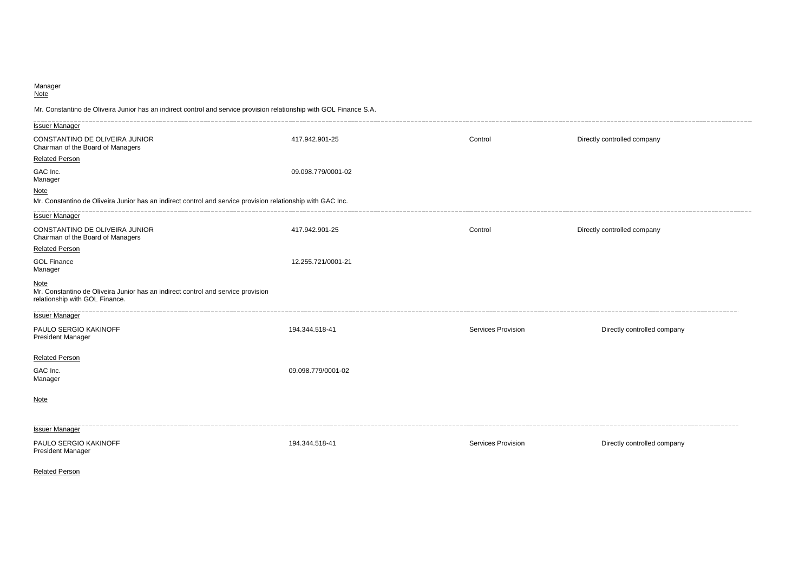#### Manager Note

Mr. Constantino de Oliveira Junior has an indirect control and service provision relationship with GOL Finance S.A.

| <b>Issuer Manager</b>                                                                                                      |                    |                           |                             |
|----------------------------------------------------------------------------------------------------------------------------|--------------------|---------------------------|-----------------------------|
| CONSTANTINO DE OLIVEIRA JUNIOR<br>Chairman of the Board of Managers                                                        | 417.942.901-25     | Control                   | Directly controlled company |
| <b>Related Person</b>                                                                                                      |                    |                           |                             |
| GAC Inc.<br>Manager                                                                                                        | 09.098.779/0001-02 |                           |                             |
| <b>Note</b>                                                                                                                |                    |                           |                             |
| Mr. Constantino de Oliveira Junior has an indirect control and service provision relationship with GAC Inc.                |                    |                           |                             |
| <b>Issuer Manager</b>                                                                                                      |                    |                           |                             |
| CONSTANTINO DE OLIVEIRA JUNIOR<br>Chairman of the Board of Managers                                                        | 417.942.901-25     | Control                   | Directly controlled company |
| <b>Related Person</b>                                                                                                      |                    |                           |                             |
| <b>GOL Finance</b><br>Manager                                                                                              | 12.255.721/0001-21 |                           |                             |
| Note<br>Mr. Constantino de Oliveira Junior has an indirect control and service provision<br>relationship with GOL Finance. |                    |                           |                             |
| <b>Issuer Manager</b>                                                                                                      |                    |                           |                             |
| PAULO SERGIO KAKINOFF<br><b>President Manager</b>                                                                          | 194.344.518-41     | Services Provision        | Directly controlled company |
| <b>Related Person</b>                                                                                                      |                    |                           |                             |
| GAC Inc.<br>Manager                                                                                                        | 09.098.779/0001-02 |                           |                             |
| <b>Note</b>                                                                                                                |                    |                           |                             |
| <b>Issuer Manager</b>                                                                                                      |                    |                           |                             |
| PAULO SERGIO KAKINOFF<br><b>President Manager</b>                                                                          | 194.344.518-41     | <b>Services Provision</b> | Directly controlled company |

Related Person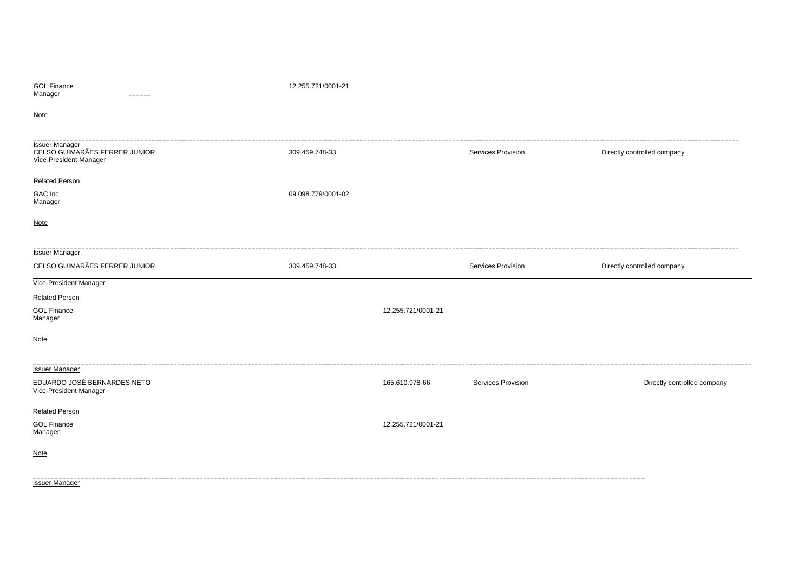| <b>GOL Finance</b><br>Manager<br>-----                                           | 12.255.721/0001-21 |                    |                    |                             |
|----------------------------------------------------------------------------------|--------------------|--------------------|--------------------|-----------------------------|
| Note                                                                             |                    |                    |                    |                             |
| <b>Issuer Manager</b><br>CELSO GUIMARÃES FERRER JUNIOR<br>Vice-President Manager | 309.459.748-33     |                    | Services Provision | Directly controlled company |
| <b>Related Person</b><br>GAC Inc.<br>Manager                                     | 09.098.779/0001-02 |                    |                    |                             |
| <b>Note</b>                                                                      |                    |                    |                    |                             |
| <b>Issuer Manager</b><br>CELSO GUIMARÃES FERRER JUNIOR                           | 309.459.748-33     |                    | Services Provision | Directly controlled company |
| Vice-President Manager                                                           |                    |                    |                    |                             |
| <b>Related Person</b>                                                            |                    |                    |                    |                             |
| <b>GOL Finance</b><br>Manager                                                    |                    | 12.255.721/0001-21 |                    |                             |
| <b>Note</b>                                                                      |                    |                    |                    |                             |
| <b>Issuer Manager</b>                                                            |                    |                    |                    |                             |
| EDUARDO JOSÉ BERNARDES NETO<br>Vice-President Manager                            |                    | 165.610.978-66     | Services Provision | Directly controlled company |
| <b>Related Person</b>                                                            |                    |                    |                    |                             |
| <b>GOL Finance</b><br>Manager                                                    |                    | 12.255.721/0001-21 |                    |                             |
| <b>Note</b>                                                                      |                    |                    |                    |                             |
| <b>Issuer Manager</b>                                                            |                    |                    |                    |                             |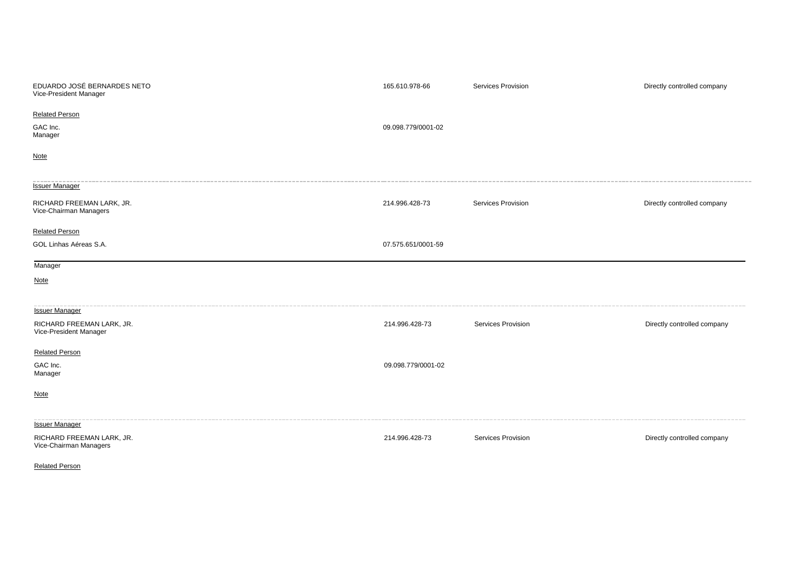| EDUARDO JOSÉ BERNARDES NETO<br>Vice-President Manager | 165.610.978-66     | Services Provision | Directly controlled company |
|-------------------------------------------------------|--------------------|--------------------|-----------------------------|
| <b>Related Person</b>                                 |                    |                    |                             |
| GAC Inc.<br>Manager                                   | 09.098.779/0001-02 |                    |                             |
| <b>Note</b>                                           |                    |                    |                             |
| <b>Issuer Manager</b>                                 |                    |                    |                             |
| RICHARD FREEMAN LARK, JR.<br>Vice-Chairman Managers   | 214.996.428-73     | Services Provision | Directly controlled company |
| <b>Related Person</b>                                 |                    |                    |                             |
| GOL Linhas Aéreas S.A.                                | 07.575.651/0001-59 |                    |                             |
| Manager                                               |                    |                    |                             |
| <b>Note</b>                                           |                    |                    |                             |
| <b>Issuer Manager</b>                                 |                    |                    |                             |
| RICHARD FREEMAN LARK, JR.<br>Vice-President Manager   | 214.996.428-73     | Services Provision | Directly controlled company |
| <b>Related Person</b>                                 |                    |                    |                             |
| GAC Inc.<br>Manager                                   | 09.098.779/0001-02 |                    |                             |
| <b>Note</b>                                           |                    |                    |                             |
| <b>Issuer Manager</b>                                 |                    |                    |                             |
| RICHARD FREEMAN LARK, JR.<br>Vice-Chairman Managers   | 214.996.428-73     | Services Provision | Directly controlled company |

Related Person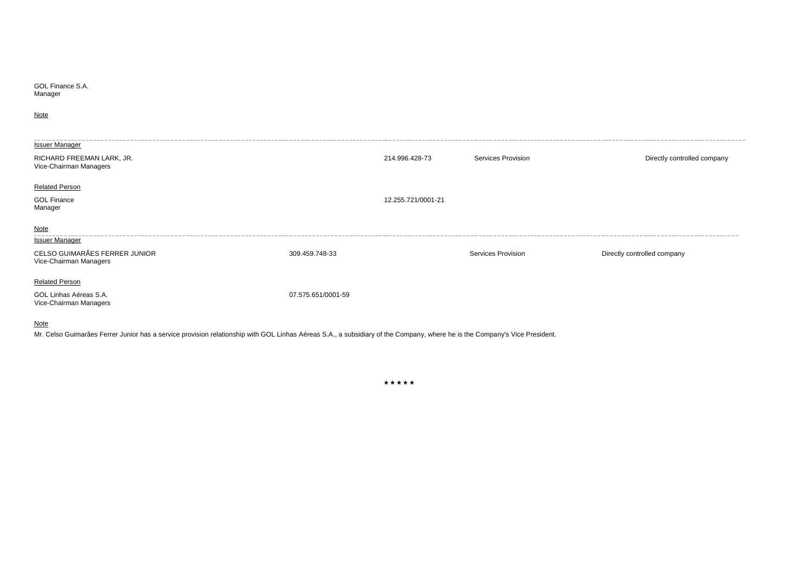GOL Finance S.A. Manager

**Note** 

| Issuer Manager                                          |                    |                    |                    |                             |
|---------------------------------------------------------|--------------------|--------------------|--------------------|-----------------------------|
| RICHARD FREEMAN LARK, JR.<br>Vice-Chairman Managers     |                    | 214.996.428-73     | Services Provision | Directly controlled company |
| <b>Related Person</b>                                   |                    |                    |                    |                             |
| <b>GOL Finance</b><br>Manager                           |                    | 12.255.721/0001-21 |                    |                             |
| Note                                                    |                    |                    |                    |                             |
| <b>Issuer Manager</b>                                   |                    |                    |                    |                             |
| CELSO GUIMARÃES FERRER JUNIOR<br>Vice-Chairman Managers | 309.459.748-33     |                    | Services Provision | Directly controlled company |
| <b>Related Person</b>                                   |                    |                    |                    |                             |
| GOL Linhas Aéreas S.A.<br>Vice-Chairman Managers        | 07.575.651/0001-59 |                    |                    |                             |
|                                                         |                    |                    |                    |                             |

**Note** 

Mr. Celso Guimarães Ferrer Junior has a service provision relationship with GOL Linhas Aéreas S.A., a subsidiary of the Company, where he is the Company's Vice President.

**\* \* \* \* \***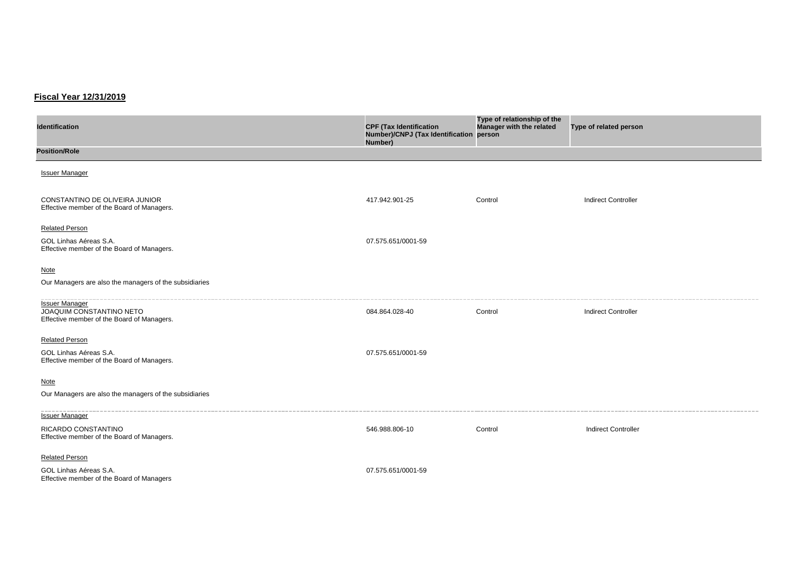# **Fiscal Year 12/31/2019**

| <b>Identification</b>                                                                           | <b>CPF (Tax Identification</b><br>Number)/CNPJ (Tax Identification<br>Number) | Type of relationship of the<br>Manager with the related<br>person | Type of related person     |
|-------------------------------------------------------------------------------------------------|-------------------------------------------------------------------------------|-------------------------------------------------------------------|----------------------------|
| <b>Position/Role</b>                                                                            |                                                                               |                                                                   |                            |
| <b>Issuer Manager</b>                                                                           |                                                                               |                                                                   |                            |
| CONSTANTINO DE OLIVEIRA JUNIOR<br>Effective member of the Board of Managers.                    | 417.942.901-25                                                                | Control                                                           | <b>Indirect Controller</b> |
| <b>Related Person</b><br>GOL Linhas Aéreas S.A.<br>Effective member of the Board of Managers.   | 07.575.651/0001-59                                                            |                                                                   |                            |
| <b>Note</b><br>Our Managers are also the managers of the subsidiaries                           |                                                                               |                                                                   |                            |
| <b>Issuer Manager</b><br>JOAQUIM CONSTANTINO NETO<br>Effective member of the Board of Managers. | 084.864.028-40                                                                | Control                                                           | <b>Indirect Controller</b> |
| <b>Related Person</b><br>GOL Linhas Aéreas S.A.<br>Effective member of the Board of Managers.   | 07.575.651/0001-59                                                            |                                                                   |                            |
| <b>Note</b><br>Our Managers are also the managers of the subsidiaries                           |                                                                               |                                                                   |                            |
| <b>Issuer Manager</b><br>RICARDO CONSTANTINO<br>Effective member of the Board of Managers.      | 546.988.806-10                                                                | Control                                                           | <b>Indirect Controller</b> |
| <b>Related Person</b><br>GOL Linhas Aéreas S.A.<br>Effective member of the Board of Managers    | 07.575.651/0001-59                                                            |                                                                   |                            |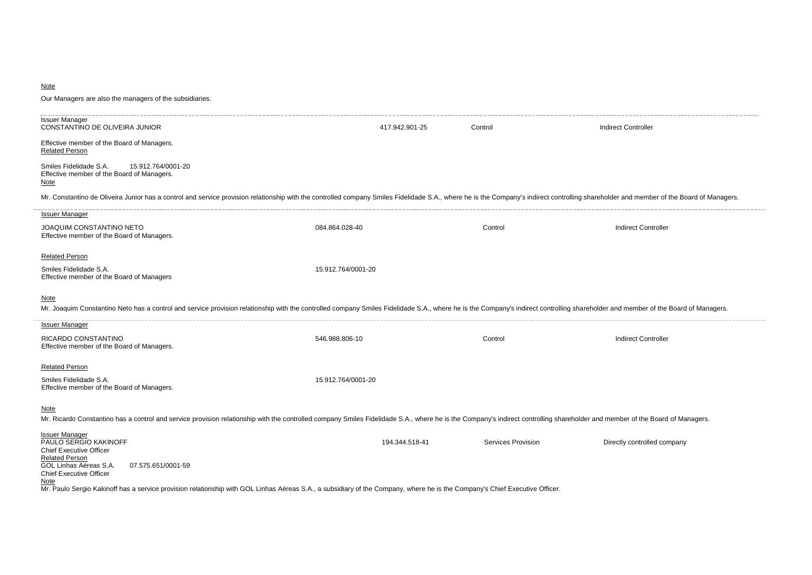## **Note**

| Our Managers are also the managers of the subsidiaries.                                                                                                                                                                                       |                    |                |                           |                             |
|-----------------------------------------------------------------------------------------------------------------------------------------------------------------------------------------------------------------------------------------------|--------------------|----------------|---------------------------|-----------------------------|
| <b>Issuer Manager</b><br>CONSTANTINO DE OLIVEIRA JUNIOR                                                                                                                                                                                       |                    | 417.942.901-25 | Control                   | Indirect Controller         |
| Effective member of the Board of Managers.<br><b>Related Person</b>                                                                                                                                                                           |                    |                |                           |                             |
| Smiles Fidelidade S.A.<br>15.912.764/0001-20<br>Effective member of the Board of Managers.<br><b>Note</b>                                                                                                                                     |                    |                |                           |                             |
| Mr. Constantino de Oliveira Junior has a control and service provision relationship with the controlled company Smiles Fidelidade S.A., where he is the Company's indirect controlling shareholder and member of the Board of                 |                    |                |                           |                             |
| <b>Issuer Manager</b>                                                                                                                                                                                                                         |                    |                |                           |                             |
| JOAQUIM CONSTANTINO NETO<br>Effective member of the Board of Managers.                                                                                                                                                                        | 084.864.028-40     |                | Control                   | <b>Indirect Controller</b>  |
| <b>Related Person</b>                                                                                                                                                                                                                         |                    |                |                           |                             |
| Smiles Fidelidade S.A.<br>Effective member of the Board of Managers                                                                                                                                                                           | 15.912.764/0001-20 |                |                           |                             |
| <b>Note</b><br>Mr. Joaquim Constantino Neto has a control and service provision relationship with the controlled company Smiles Fidelidade S.A., where he is the Company's indirect controlling shareholder and member of the Board of Manage |                    |                |                           |                             |
| <b>Issuer Manager</b>                                                                                                                                                                                                                         |                    |                |                           |                             |
| RICARDO CONSTANTINO<br>Effective member of the Board of Managers.                                                                                                                                                                             | 546.988.806-10     |                | Control                   | <b>Indirect Controller</b>  |
| <b>Related Person</b>                                                                                                                                                                                                                         |                    |                |                           |                             |
| Smiles Fidelidade S.A.<br>Effective member of the Board of Managers.                                                                                                                                                                          | 15.912.764/0001-20 |                |                           |                             |
| <b>Note</b><br>Mr. Ricardo Constantino has a control and service provision relationship with the controlled company Smiles Fidelidade S.A., where he is the Company's indirect controlling shareholder and member of the Board of Managers.   |                    |                |                           |                             |
| <b>Issuer Manager</b><br>PAULO SERGIO KAKINOFF<br><b>Chief Executive Officer</b><br><b>Related Person</b><br>GOL Linhas Aéreas S.A.<br>07.575.651/0001-59<br><b>Chief Executive Officer</b><br>Note                                           |                    | 194.344.518-41 | <b>Services Provision</b> | Directly controlled company |

Mr. Paulo Sergio Kakinoff has a service provision relationship with GOL Linhas Aéreas S.A., a subsidiary of the Company, where he is the Company's Chief Executive Officer.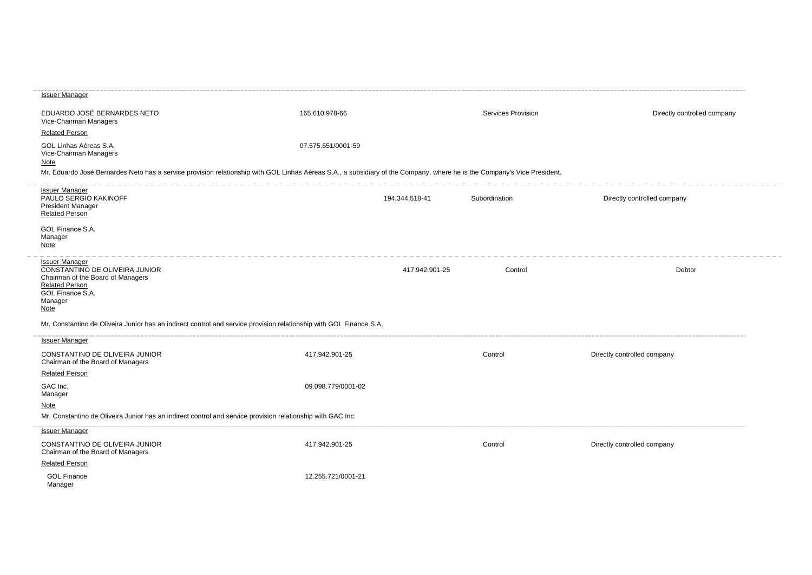| EDUARDO JOSÉ BERNARDES NETO<br>Vice-Chairman Managers                                                                                                                                                                                       | 165.610.978-66     |                | Services Provision | Directly controlled company |
|---------------------------------------------------------------------------------------------------------------------------------------------------------------------------------------------------------------------------------------------|--------------------|----------------|--------------------|-----------------------------|
| <b>Related Person</b>                                                                                                                                                                                                                       |                    |                |                    |                             |
| GOL Linhas Aéreas S.A.<br>Vice-Chairman Managers<br><b>Note</b><br>Mr. Eduardo José Bernardes Neto has a service provision relationship with GOL Linhas Aéreas S.A., a subsidiary of the Company, where he is the Company's Vice President. | 07.575.651/0001-59 |                |                    |                             |
|                                                                                                                                                                                                                                             |                    |                |                    |                             |
| <b>Issuer Manager</b><br>PAULO SERGIO KAKINOFF<br><b>President Manager</b><br><b>Related Person</b>                                                                                                                                         |                    | 194.344.518-41 | Subordination      | Directly controlled company |
| GOL Finance S.A.<br>Manager<br><b>Note</b>                                                                                                                                                                                                  |                    |                |                    |                             |
| <b>Issuer Manager</b><br>CONSTANTINO DE OLIVEIRA JUNIOR<br>Chairman of the Board of Managers<br><b>Related Person</b><br>GOL Finance S.A.<br>Manager<br><b>Note</b>                                                                         |                    | 417.942.901-25 | Control            | Debtor                      |
| Mr. Constantino de Oliveira Junior has an indirect control and service provision relationship with GOL Finance S.A.                                                                                                                         |                    |                |                    |                             |
| <b>Issuer Manager</b>                                                                                                                                                                                                                       |                    |                |                    |                             |
| CONSTANTINO DE OLIVEIRA JUNIOR<br>Chairman of the Board of Managers                                                                                                                                                                         | 417.942.901-25     |                | Control            | Directly controlled company |
| <b>Related Person</b>                                                                                                                                                                                                                       |                    |                |                    |                             |
| GAC Inc.<br>Manager                                                                                                                                                                                                                         | 09.098.779/0001-02 |                |                    |                             |
| <b>Note</b><br>Mr. Constantino de Oliveira Junior has an indirect control and service provision relationship with GAC Inc.                                                                                                                  |                    |                |                    |                             |
| <b>Issuer Manager</b>                                                                                                                                                                                                                       |                    |                |                    |                             |
| CONSTANTINO DE OLIVEIRA JUNIOR<br>Chairman of the Board of Managers                                                                                                                                                                         | 417.942.901-25     |                | Control            | Directly controlled company |
| <b>Related Person</b>                                                                                                                                                                                                                       |                    |                |                    |                             |
| <b>GOL Finance</b><br>Manager                                                                                                                                                                                                               | 12.255.721/0001-21 |                |                    |                             |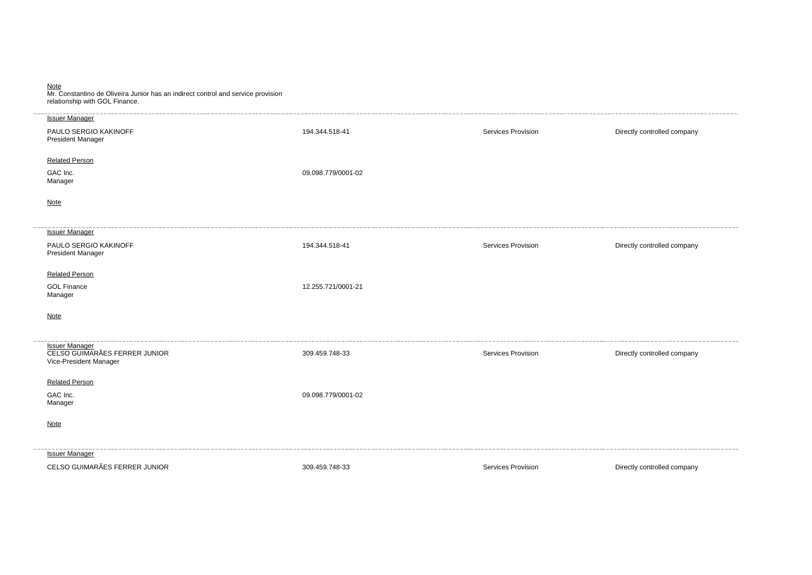| Note<br>Mr. Constantino de Oliveira Junior has an indirect control and service provision<br>relationship with GOL Finance. |                    |                    |                             |
|----------------------------------------------------------------------------------------------------------------------------|--------------------|--------------------|-----------------------------|
| <b>Issuer Manager</b>                                                                                                      |                    |                    |                             |
| PAULO SERGIO KAKINOFF<br>President Manager                                                                                 | 194.344.518-41     | Services Provision | Directly controlled company |
| <b>Related Person</b>                                                                                                      |                    |                    |                             |
| GAC Inc.<br>Manager                                                                                                        | 09.098.779/0001-02 |                    |                             |
| <b>Note</b>                                                                                                                |                    |                    |                             |
| <b>Issuer Manager</b>                                                                                                      |                    |                    |                             |
| PAULO SERGIO KAKINOFF<br>President Manager                                                                                 | 194.344.518-41     | Services Provision | Directly controlled company |
| <b>Related Person</b>                                                                                                      |                    |                    |                             |
| <b>GOL Finance</b><br>Manager                                                                                              | 12.255.721/0001-21 |                    |                             |
| <b>Note</b>                                                                                                                |                    |                    |                             |
| Issuer Manager<br>CELSO GUIMARÃES FERRER JUNIOR<br>Vice-President Manager                                                  | 309.459.748-33     | Services Provision | Directly controlled company |
| <b>Related Person</b>                                                                                                      |                    |                    |                             |
| GAC Inc.<br>Manager                                                                                                        | 09.098.779/0001-02 |                    |                             |
| Note                                                                                                                       |                    |                    |                             |
| <b>Issuer Manager</b>                                                                                                      |                    |                    |                             |
| CELSO GUIMARÃES FERRER JUNIOR                                                                                              | 309.459.748-33     | Services Provision | Directly controlled company |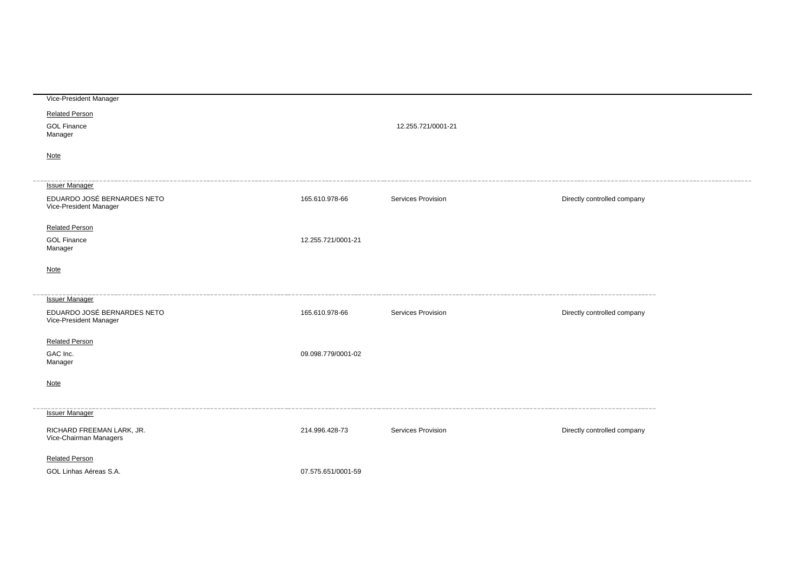| Vice-President Manager      |                    |                           |                             |  |
|-----------------------------|--------------------|---------------------------|-----------------------------|--|
| <b>Related Person</b>       |                    |                           |                             |  |
| <b>GOL Finance</b>          |                    | 12.255.721/0001-21        |                             |  |
| Manager                     |                    |                           |                             |  |
| <b>Note</b>                 |                    |                           |                             |  |
|                             |                    |                           |                             |  |
| <b>Issuer Manager</b>       |                    |                           |                             |  |
| EDUARDO JOSÉ BERNARDES NETO | 165.610.978-66     | Services Provision        | Directly controlled company |  |
| Vice-President Manager      |                    |                           |                             |  |
| <b>Related Person</b>       |                    |                           |                             |  |
| <b>GOL Finance</b>          | 12.255.721/0001-21 |                           |                             |  |
| Manager                     |                    |                           |                             |  |
| Note                        |                    |                           |                             |  |
|                             |                    |                           |                             |  |
| <b>Issuer Manager</b>       |                    |                           |                             |  |
| EDUARDO JOSÉ BERNARDES NETO | 165.610.978-66     | Services Provision        | Directly controlled company |  |
| Vice-President Manager      |                    |                           |                             |  |
| <b>Related Person</b>       |                    |                           |                             |  |
| GAC Inc.                    | 09.098.779/0001-02 |                           |                             |  |
| Manager                     |                    |                           |                             |  |
|                             |                    |                           |                             |  |
| <b>Note</b>                 |                    |                           |                             |  |
|                             |                    |                           |                             |  |
| <b>Issuer Manager</b>       |                    |                           |                             |  |
| RICHARD FREEMAN LARK, JR.   | 214.996.428-73     | <b>Services Provision</b> | Directly controlled company |  |
| Vice-Chairman Managers      |                    |                           |                             |  |
| <b>Related Person</b>       |                    |                           |                             |  |
| GOL Linhas Aéreas S.A.      | 07.575.651/0001-59 |                           |                             |  |
|                             |                    |                           |                             |  |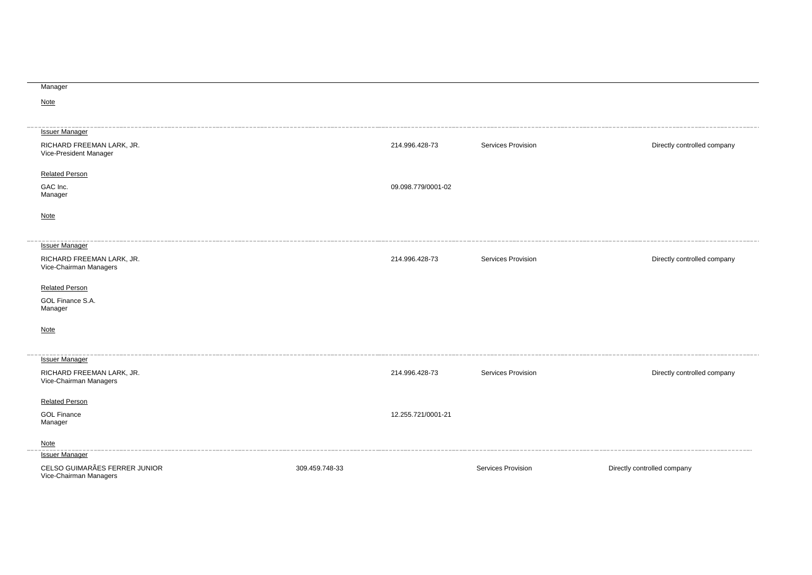## Manager

**Note** 

| <b>Issuer Manager</b><br>RICHARD FREEMAN LARK, JR.<br>Vice-President Manager |                | 214.996.428-73     | Services Provision | Directly controlled company |
|------------------------------------------------------------------------------|----------------|--------------------|--------------------|-----------------------------|
| <b>Related Person</b>                                                        |                |                    |                    |                             |
| GAC Inc.<br>Manager                                                          |                | 09.098.779/0001-02 |                    |                             |
| Note                                                                         |                |                    |                    |                             |
| <b>Issuer Manager</b>                                                        |                |                    |                    |                             |
| RICHARD FREEMAN LARK, JR.<br>Vice-Chairman Managers                          |                | 214.996.428-73     | Services Provision | Directly controlled company |
| <b>Related Person</b>                                                        |                |                    |                    |                             |
| GOL Finance S.A.<br>Manager                                                  |                |                    |                    |                             |
| <b>Note</b>                                                                  |                |                    |                    |                             |
| <b>Issuer Manager</b>                                                        |                |                    |                    |                             |
| RICHARD FREEMAN LARK, JR.<br>Vice-Chairman Managers                          |                | 214.996.428-73     | Services Provision | Directly controlled company |
| <b>Related Person</b>                                                        |                |                    |                    |                             |
| <b>GOL Finance</b><br>Manager                                                |                | 12.255.721/0001-21 |                    |                             |
| Note                                                                         |                |                    |                    |                             |
| <b>Issuer Manager</b>                                                        |                |                    |                    |                             |
| CELSO GUIMARÃES FERRER JUNIOR<br>Vice-Chairman Managers                      | 309.459.748-33 |                    | Services Provision | Directly controlled company |